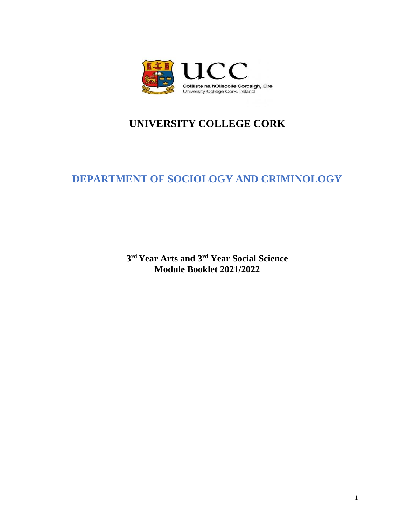

# **UNIVERSITY COLLEGE CORK**

# **DEPARTMENT OF SOCIOLOGY AND CRIMINOLOGY**

**3 rd Year Arts and 3rd Year Social Science Module Booklet 2021/2022**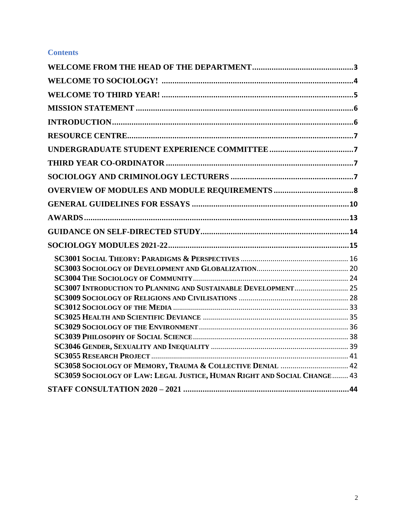# **Contents**

| SC3007 INTRODUCTION TO PLANNING AND SUSTAINABLE DEVELOPMENT 25           |  |
|--------------------------------------------------------------------------|--|
|                                                                          |  |
|                                                                          |  |
|                                                                          |  |
|                                                                          |  |
|                                                                          |  |
|                                                                          |  |
|                                                                          |  |
| SC3058 SOCIOLOGY OF MEMORY, TRAUMA & COLLECTIVE DENIAL  42               |  |
| SC3059 SOCIOLOGY OF LAW: LEGAL JUSTICE, HUMAN RIGHT AND SOCIAL CHANGE 43 |  |
|                                                                          |  |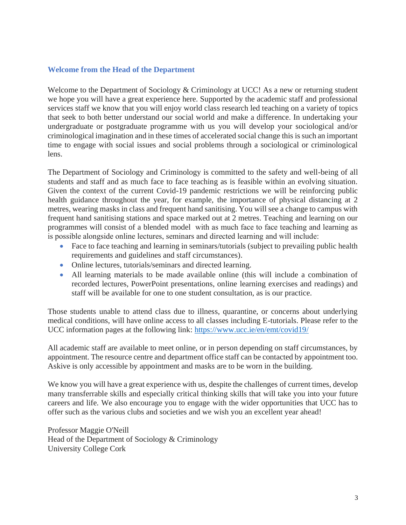## <span id="page-2-0"></span>**Welcome from the Head of the Department**

Welcome to the Department of Sociology & Criminology at UCC! As a new or returning student we hope you will have a great experience here. Supported by the academic staff and professional services staff we know that you will enjoy world class research led teaching on a variety of topics that seek to both better understand our social world and make a difference. In undertaking your undergraduate or postgraduate programme with us you will develop your sociological and/or criminological imagination and in these times of accelerated social change this is such an important time to engage with social issues and social problems through a sociological or criminological lens.

The Department of Sociology and Criminology is committed to the safety and well-being of all students and staff and as much face to face teaching as is feasible within an evolving situation. Given the context of the current Covid-19 pandemic restrictions we will be reinforcing public health guidance throughout the year, for example, the importance of physical distancing at 2 metres, wearing masks in class and frequent hand sanitising. You will see a change to campus with frequent hand sanitising stations and space marked out at 2 metres. Teaching and learning on our programmes will consist of a blended model with as much face to face teaching and learning as is possible alongside online lectures, seminars and directed learning and will include:

- Face to face teaching and learning in seminars/tutorials (subject to prevailing public health requirements and guidelines and staff circumstances).
- Online lectures, tutorials/seminars and directed learning.
- All learning materials to be made available online (this will include a combination of recorded lectures, PowerPoint presentations, online learning exercises and readings) and staff will be available for one to one student consultation, as is our practice.

Those students unable to attend class due to illness, quarantine, or concerns about underlying medical conditions, will have online access to all classes including E-tutorials. Please refer to the UCC information pages at the following link:<https://www.ucc.ie/en/emt/covid19/>

All academic staff are available to meet online, or in person depending on staff circumstances, by appointment. The resource centre and department office staff can be contacted by appointment too. Askive is only accessible by appointment and masks are to be worn in the building.

We know you will have a great experience with us, despite the challenges of current times, develop many transferrable skills and especially critical thinking skills that will take you into your future careers and life. We also encourage you to engage with the wider opportunities that UCC has to offer such as the various clubs and societies and we wish you an excellent year ahead!

Professor Maggie O'Neill Head of the Department of Sociology & Criminology University College Cork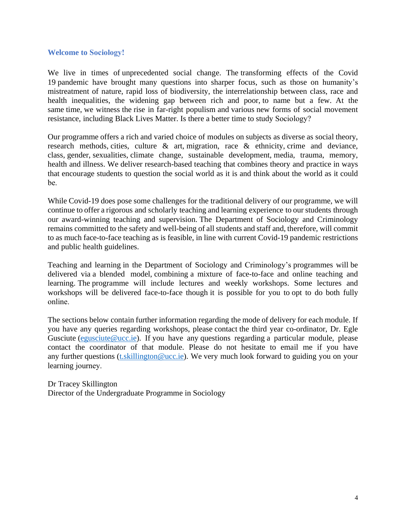#### <span id="page-3-0"></span>**Welcome to Sociology!**

We live in times of unprecedented social change. The transforming effects of the Covid 19 pandemic have brought many questions into sharper focus, such as those on humanity's mistreatment of nature, rapid loss of biodiversity, the interrelationship between class, race and health inequalities, the widening gap between rich and poor, to name but a few. At the same time, we witness the rise in far-right populism and various new forms of social movement resistance, including Black Lives Matter. Is there a better time to study Sociology? 

Our programme offers a rich and varied choice of modules on subjects as diverse as social theory, research methods, cities, culture & art, migration, race & ethnicity, crime and deviance, class, gender, sexualities, climate change, sustainable development, media, trauma, memory, health and illness. We deliver research-based teaching that combines theory and practice in ways that encourage students to question the social world as it is and think about the world as it could be. 

While Covid-19 does pose some challenges for the traditional delivery of our programme, we will continue to offer a rigorous and scholarly teaching and learning experience to ourstudents through our award-winning teaching and supervision. The Department of Sociology and Criminology remains committed to the safety and well-being of all students and staff and, therefore, will commit to as much face-to-face teaching as is feasible, in line with current Covid-19 pandemic restrictions and public health guidelines.

Teaching and learning in the Department of Sociology and Criminology's programmes will be delivered via a blended model, combining a mixture of face-to-face and online teaching and learning. The programme will include lectures and weekly workshops. Some lectures and workshops will be delivered face-to-face though it is possible for you to opt to do both fully online. 

The sections below contain further information regarding the mode of delivery for each module. If you have any queries regarding workshops, please contact the third year co-ordinator, Dr. Egle Gusciute [\(egusciute@ucc.ie\)](mailto:egusciute@ucc.ie). If you have any questions regarding a particular module, please contact the coordinator of that module. Please do not hesitate to email me if you have any further questions (t. skillington @ucc.ie). We very much look forward to guiding you on your learning journey. 

Dr Tracey Skillington Director of the Undergraduate Programme in Sociology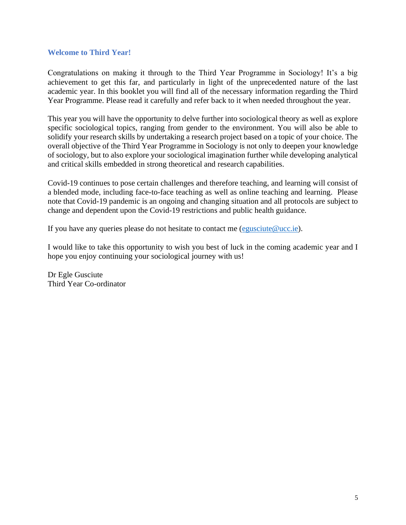## <span id="page-4-0"></span>**Welcome to Third Year!**

Congratulations on making it through to the Third Year Programme in Sociology! It's a big achievement to get this far, and particularly in light of the unprecedented nature of the last academic year. In this booklet you will find all of the necessary information regarding the Third Year Programme. Please read it carefully and refer back to it when needed throughout the year.

This year you will have the opportunity to delve further into sociological theory as well as explore specific sociological topics, ranging from gender to the environment. You will also be able to solidify your research skills by undertaking a research project based on a topic of your choice. The overall objective of the Third Year Programme in Sociology is not only to deepen your knowledge of sociology, but to also explore your sociological imagination further while developing analytical and critical skills embedded in strong theoretical and research capabilities.

Covid-19 continues to pose certain challenges and therefore teaching, and learning will consist of a blended mode, including face-to-face teaching as well as online teaching and learning. Please note that Covid-19 pandemic is an ongoing and changing situation and all protocols are subject to change and dependent upon the Covid-19 restrictions and public health guidance.

If you have any queries please do not hesitate to contact me (egusciute  $@$ ucc.ie).

I would like to take this opportunity to wish you best of luck in the coming academic year and I hope you enjoy continuing your sociological journey with us!

Dr Egle Gusciute Third Year Co-ordinator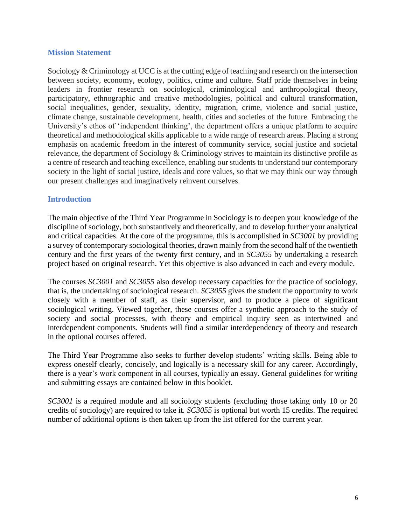## <span id="page-5-0"></span>**Mission Statement**

Sociology & Criminology at UCC is at the cutting edge of teaching and research on the intersection between society, economy, ecology, politics, crime and culture. Staff pride themselves in being leaders in frontier research on sociological, criminological and anthropological theory, participatory, ethnographic and creative methodologies, political and cultural transformation, social inequalities, gender, sexuality, identity, migration, crime, violence and social justice, climate change, sustainable development, health, cities and societies of the future. Embracing the University's ethos of 'independent thinking', the department offers a unique platform to acquire theoretical and methodological skills applicable to a wide range of research areas. Placing a strong emphasis on academic freedom in the interest of community service, social justice and societal relevance, the department of Sociology & Criminology strives to maintain its distinctive profile as a centre of research and teaching excellence, enabling our students to understand our contemporary society in the light of social justice, ideals and core values, so that we may think our way through our present challenges and imaginatively reinvent ourselves.

## <span id="page-5-1"></span>**Introduction**

The main objective of the Third Year Programme in Sociology is to deepen your knowledge of the discipline of sociology, both substantively and theoretically, and to develop further your analytical and critical capacities. At the core of the programme, this is accomplished in *SC3001* by providing a survey of contemporary sociological theories, drawn mainly from the second half of the twentieth century and the first years of the twenty first century, and in *SC3055* by undertaking a research project based on original research. Yet this objective is also advanced in each and every module.

The courses *SC3001* and *SC3055* also develop necessary capacities for the practice of sociology, that is, the undertaking of sociological research. *SC3055* gives the student the opportunity to work closely with a member of staff, as their supervisor, and to produce a piece of significant sociological writing. Viewed together, these courses offer a synthetic approach to the study of society and social processes, with theory and empirical inquiry seen as intertwined and interdependent components. Students will find a similar interdependency of theory and research in the optional courses offered.

The Third Year Programme also seeks to further develop students' writing skills. Being able to express oneself clearly, concisely, and logically is a necessary skill for any career. Accordingly, there is a year's work component in all courses, typically an essay. General guidelines for writing and submitting essays are contained below in this booklet.

*SC3001* is a required module and all sociology students (excluding those taking only 10 or 20 credits of sociology) are required to take it. *SC3055* is optional but worth 15 credits. The required number of additional options is then taken up from the list offered for the current year.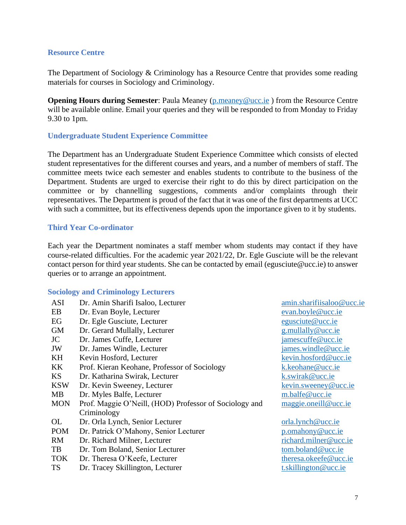## <span id="page-6-0"></span>**Resource Centre**

The Department of Sociology & Criminology has a Resource Centre that provides some reading materials for courses in Sociology and Criminology.

**Opening Hours during Semester:** Paula Meaney [\(p.meaney@ucc.ie](mailto:P.meaney@ucc.ie)) from the Resource Centre will be available online. Email your queries and they will be responded to from Monday to Friday 9.30 to 1pm.

### <span id="page-6-1"></span>**Undergraduate Student Experience Committee**

The Department has an Undergraduate Student Experience Committee which consists of elected student representatives for the different courses and years, and a number of members of staff. The committee meets twice each semester and enables students to contribute to the business of the Department. Students are urged to exercise their right to do this by direct participation on the committee or by channelling suggestions, comments and/or complaints through their representatives. The Department is proud of the fact that it was one of the first departments at UCC with such a committee, but its effectiveness depends upon the importance given to it by students.

### <span id="page-6-2"></span>**Third Year Co-ordinator**

Each year the Department nominates a staff member whom students may contact if they have course-related difficulties. For the academic year 2021/22, Dr. Egle Gusciute will be the relevant contact person for third year students. She can be contacted by email (egusciute@ucc.ie) to answer queries or to arrange an appointment.

### <span id="page-6-3"></span>**Sociology and Criminology Lecturers**

| <b>ASI</b> | Dr. Amin Sharifi Isaloo, Lecturer                      | amin.sharifiisaloo@ucc.ie   |
|------------|--------------------------------------------------------|-----------------------------|
| EB         | Dr. Evan Boyle, Lecturer                               | evan.boyle@ucc.ie           |
| EG         | Dr. Egle Gusciute, Lecturer                            | egusciute@ucc.ie            |
| <b>GM</b>  | Dr. Gerard Mullally, Lecturer                          | $g$ .mullally@ucc.ie        |
| JC         | Dr. James Cuffe, Lecturer                              | jamescuffe@ucc.ie           |
| JW         | Dr. James Windle, Lecturer                             | james.windle@ucc.ie         |
| KH         | Kevin Hosford, Lecturer                                | kevin.hosford@ucc.ie        |
| KK.        | Prof. Kieran Keohane, Professor of Sociology           | k.keohane@ucc.ie            |
| <b>KS</b>  | Dr. Katharina Swirak, Lecturer                         | k.swirak@ucc.ie             |
| <b>KSW</b> | Dr. Kevin Sweeney, Lecturer                            | <u>kevin.sweeney@ucc.ie</u> |
| MB         | Dr. Myles Balfe, Lecturer                              | m.balfe@ucc.ie              |
| <b>MON</b> | Prof. Maggie O'Neill, (HOD) Professor of Sociology and | maggie.oneill@ucc.ie        |
|            | Criminology                                            |                             |
| OL         | Dr. Orla Lynch, Senior Lecturer                        | orla.lynch@ucc.ie           |
| <b>POM</b> | Dr. Patrick O'Mahony, Senior Lecturer                  | p.omahony@ucc.ie            |
| <b>RM</b>  | Dr. Richard Milner, Lecturer                           | richard.milner@ucc.ie       |
| TB         | Dr. Tom Boland, Senior Lecturer                        | tom.boland@ucc.ie           |
| <b>TOK</b> | Dr. Theresa O'Keefe, Lecturer                          | theresa.okeefe@ucc.ie       |
| <b>TS</b>  | Dr. Tracey Skillington, Lecturer                       | t.skillington@ucc.ie        |
|            |                                                        |                             |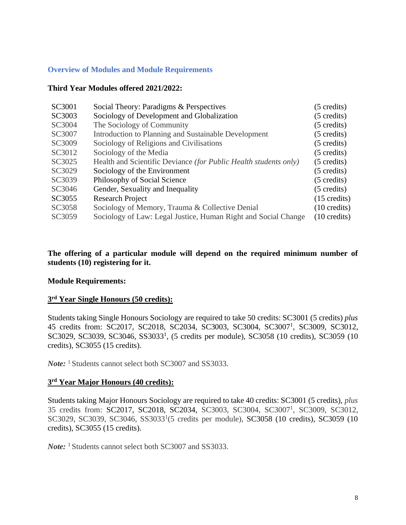## <span id="page-7-0"></span>**Overview of Modules and Module Requirements**

## **Third Year Modules offered 2021/2022:**

| SC3001 | Social Theory: Paradigms & Perspectives                          | (5 credits)            |
|--------|------------------------------------------------------------------|------------------------|
| SC3003 | Sociology of Development and Globalization                       | (5 credits)            |
| SC3004 | The Sociology of Community                                       | (5 credits)            |
| SC3007 | Introduction to Planning and Sustainable Development             | (5 credits)            |
| SC3009 | Sociology of Religions and Civilisations                         | (5 credits)            |
| SC3012 | Sociology of the Media                                           | (5 credits)            |
| SC3025 | Health and Scientific Deviance (for Public Health students only) | (5 credits)            |
| SC3029 | Sociology of the Environment                                     | (5 credits)            |
| SC3039 | Philosophy of Social Science                                     | (5 credits)            |
| SC3046 | Gender, Sexuality and Inequality                                 | (5 credits)            |
| SC3055 | <b>Research Project</b>                                          | $(15 \text{ credits})$ |
| SC3058 | Sociology of Memory, Trauma & Collective Denial                  | $(10 \text{ credits})$ |
| SC3059 | Sociology of Law: Legal Justice, Human Right and Social Change   | $(10 \text{ credits})$ |

## **The offering of a particular module will depend on the required minimum number of students (10) registering for it.**

### **Module Requirements:**

## **3 rd Year Single Honours (50 credits):**

Students taking Single Honours Sociology are required to take 50 credits: SC3001 (5 credits) *plus* 45 credits from: SC2017, SC2018, SC2034, SC3003, SC3004, SC3007<sup>1</sup>, SC3009, SC3012, SC3029, SC3039, SC3046, SS3033<sup>1</sup>, (5 credits per module), SC3058 (10 credits), SC3059 (10 credits), SC3055 (15 credits).

*Note*: <sup>1</sup> Students cannot select both SC3007 and SS3033.

### **3 rd Year Major Honours (40 credits):**

Students taking Major Honours Sociology are required to take 40 credits: SC3001 (5 credits), *plus*  35 credits from: SC2017, SC2018, SC2034, SC3003, SC3004, SC3007<sup>1</sup>, SC3009, SC3012, SC3029, SC3039, SC3046, SS3033<sup>1</sup>(5 credits per module), SC3058 (10 credits), SC3059 (10 credits), SC3055 (15 credits).

*Note*: <sup>1</sup> Students cannot select both SC3007 and SS3033.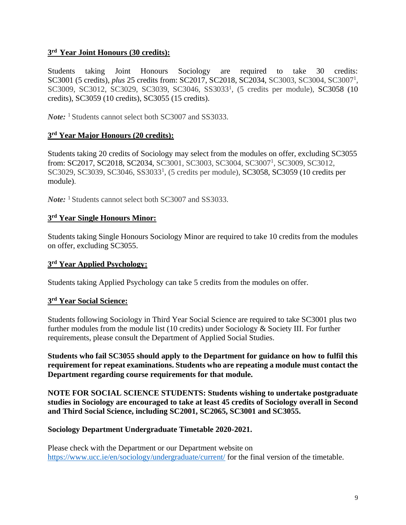# **3 rd Year Joint Honours (30 credits):**

Students taking Joint Honours Sociology are required to take 30 credits: SC3001 (5 credits), *plus* 25 credits from: SC2017, SC2018, SC2034, SC3003, SC3004, SC3007<sup>1</sup>, SC3009, SC3012, SC3029, SC3039, SC3046, SS3033<sup>1</sup>, (5 credits per module), SC3058 (10 credits), SC3059 (10 credits), SC3055 (15 credits).

*Note*: <sup>1</sup> Students cannot select both SC3007 and SS3033.

# **3 rd Year Major Honours (20 credits):**

Students taking 20 credits of Sociology may select from the modules on offer, excluding SC3055 from: SC2017, SC2018, SC2034, SC3001, SC3003, SC3004, SC3007<sup>1</sup>, SC3009, SC3012, SC3029, SC3039, SC3046, SS3033<sup>1</sup>, (5 credits per module), SC3058, SC3059 (10 credits per module).

*Note:* <sup>1</sup> Students cannot select both SC3007 and SS3033.

## **3 rd Year Single Honours Minor:**

Students taking Single Honours Sociology Minor are required to take 10 credits from the modules on offer, excluding SC3055.

## **3 rd Year Applied Psychology:**

Students taking Applied Psychology can take 5 credits from the modules on offer.

# **3 rd Year Social Science:**

Students following Sociology in Third Year Social Science are required to take SC3001 plus two further modules from the module list (10 credits) under Sociology & Society III. For further requirements, please consult the Department of Applied Social Studies.

**Students who fail SC3055 should apply to the Department for guidance on how to fulfil this requirement for repeat examinations. Students who are repeating a module must contact the Department regarding course requirements for that module.** 

**NOTE FOR SOCIAL SCIENCE STUDENTS: Students wishing to undertake postgraduate studies in Sociology are encouraged to take at least 45 credits of Sociology overall in Second and Third Social Science, including SC2001, SC2065, SC3001 and SC3055.** 

### **Sociology Department Undergraduate Timetable 2020-2021.**

Please check with the Department or our Department website on <https://www.ucc.ie/en/sociology/undergraduate/current/> for the final version of the timetable.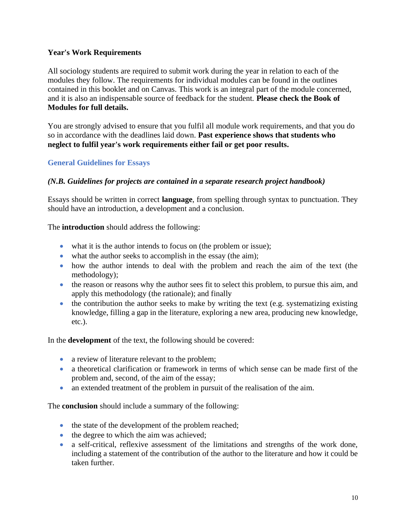## **Year's Work Requirements**

All sociology students are required to submit work during the year in relation to each of the modules they follow. The requirements for individual modules can be found in the outlines contained in this booklet and on Canvas. This work is an integral part of the module concerned, and it is also an indispensable source of feedback for the student. **Please check the Book of Modules for full details.** 

You are strongly advised to ensure that you fulfil all module work requirements, and that you do so in accordance with the deadlines laid down. **Past experience shows that students who neglect to fulfil year's work requirements either fail or get poor results.** 

# <span id="page-9-0"></span>**General Guidelines for Essays**

## *(N.B. Guidelines for projects are contained in a separate research project handbook)*

Essays should be written in correct **language**, from spelling through syntax to punctuation. They should have an introduction, a development and a conclusion.

The **introduction** should address the following:

- what it is the author intends to focus on (the problem or issue);
- what the author seeks to accomplish in the essay (the aim);
- how the author intends to deal with the problem and reach the aim of the text (the methodology);
- the reason or reasons why the author sees fit to select this problem, to pursue this aim, and apply this methodology (the rationale); and finally
- the contribution the author seeks to make by writing the text (e.g. systematizing existing knowledge, filling a gap in the literature, exploring a new area, producing new knowledge, etc.).

In the **development** of the text, the following should be covered:

- a review of literature relevant to the problem;
- a theoretical clarification or framework in terms of which sense can be made first of the problem and, second, of the aim of the essay;
- an extended treatment of the problem in pursuit of the realisation of the aim.

The **conclusion** should include a summary of the following:

- the state of the development of the problem reached;
- the degree to which the aim was achieved;
- a self-critical, reflexive assessment of the limitations and strengths of the work done, including a statement of the contribution of the author to the literature and how it could be taken further.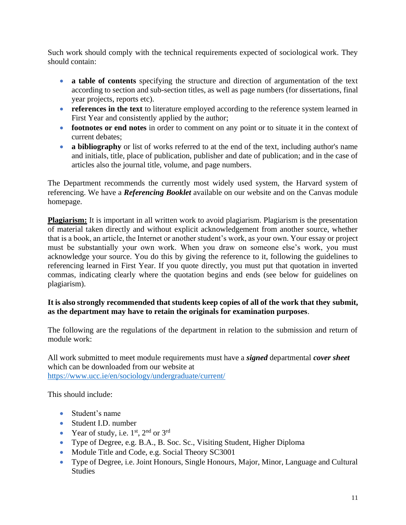Such work should comply with the technical requirements expected of sociological work. They should contain:

- **a table of contents** specifying the structure and direction of argumentation of the text according to section and sub-section titles, as well as page numbers (for dissertations, final year projects, reports etc).
- **references in the text** to literature employed according to the reference system learned in First Year and consistently applied by the author;
- **footnotes or end notes** in order to comment on any point or to situate it in the context of current debates;
- **a bibliography** or list of works referred to at the end of the text, including author's name and initials, title, place of publication, publisher and date of publication; and in the case of articles also the journal title, volume, and page numbers.

The Department recommends the currently most widely used system, the Harvard system of referencing. We have a *Referencing Booklet* available on our website and on the Canvas module homepage.

**Plagiarism:** It is important in all written work to avoid plagiarism. Plagiarism is the presentation of material taken directly and without explicit acknowledgement from another source, whether that is a book, an article, the Internet or another student's work, as your own. Your essay or project must be substantially your own work. When you draw on someone else's work, you must acknowledge your source. You do this by giving the reference to it, following the guidelines to referencing learned in First Year. If you quote directly, you must put that quotation in inverted commas, indicating clearly where the quotation begins and ends (see below for guidelines on plagiarism).

# **It is also strongly recommended that students keep copies of all of the work that they submit, as the department may have to retain the originals for examination purposes**.

The following are the regulations of the department in relation to the submission and return of module work:

All work submitted to meet module requirements must have a *signed* departmental *cover sheet*  which can be downloaded from our website at <https://www.ucc.ie/en/sociology/undergraduate/current/>

This should include:

- Student's name
- Student I.D. number
- Year of study, i.e.  $1<sup>st</sup>$ ,  $2<sup>nd</sup>$  or  $3<sup>rd</sup>$
- Type of Degree, e.g. B.A., B. Soc. Sc., Visiting Student, Higher Diploma
- Module Title and Code, e.g. Social Theory SC3001
- Type of Degree, i.e. Joint Honours, Single Honours, Major, Minor, Language and Cultural **Studies**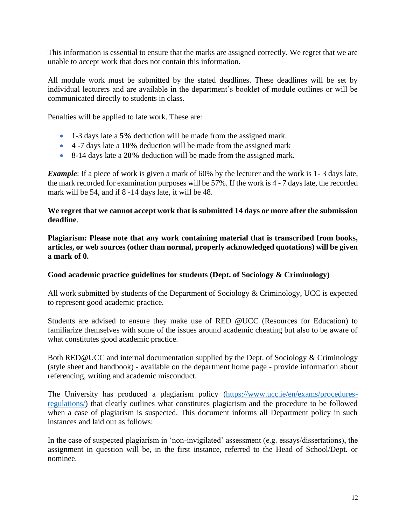This information is essential to ensure that the marks are assigned correctly. We regret that we are unable to accept work that does not contain this information.

All module work must be submitted by the stated deadlines. These deadlines will be set by individual lecturers and are available in the department's booklet of module outlines or will be communicated directly to students in class.

Penalties will be applied to late work. These are:

- 1-3 days late a **5%** deduction will be made from the assigned mark.
- 4 -7 days late a **10%** deduction will be made from the assigned mark
- 8-14 days late a **20%** deduction will be made from the assigned mark.

*Example*: If a piece of work is given a mark of 60% by the lecturer and the work is 1-3 days late, the mark recorded for examination purposes will be 57%. If the work is 4 - 7 days late, the recorded mark will be 54, and if 8 -14 days late, it will be 48.

**We regret that we cannot accept work that is submitted 14 days or more after the submission deadline**.

**Plagiarism: Please note that any work containing material that is transcribed from books, articles, or web sources (other than normal, properly acknowledged quotations) will be given a mark of 0.** 

### **Good academic practice guidelines for students (Dept. of Sociology & Criminology)**

All work submitted by students of the Department of Sociology & Criminology, UCC is expected to represent good academic practice.

Students are advised to ensure they make use of RED @UCC (Resources for Education) to familiarize themselves with some of the issues around academic cheating but also to be aware of what constitutes good academic practice.

Both RED@UCC and internal documentation supplied by the Dept. of Sociology & Criminology (style sheet and handbook) - available on the department home page - provide information about referencing, writing and academic misconduct.

The University has produced a plagiarism policy [\(https://www.ucc.ie/en/exams/procedures](https://www.ucc.ie/en/exams/procedures-regulations/)[regulations/\)](https://www.ucc.ie/en/exams/procedures-regulations/) that clearly outlines what constitutes plagiarism and the procedure to be followed when a case of plagiarism is suspected. This document informs all Department policy in such instances and laid out as follows:

In the case of suspected plagiarism in 'non-invigilated' assessment (e.g. essays/dissertations), the assignment in question will be, in the first instance, referred to the Head of School/Dept. or nominee.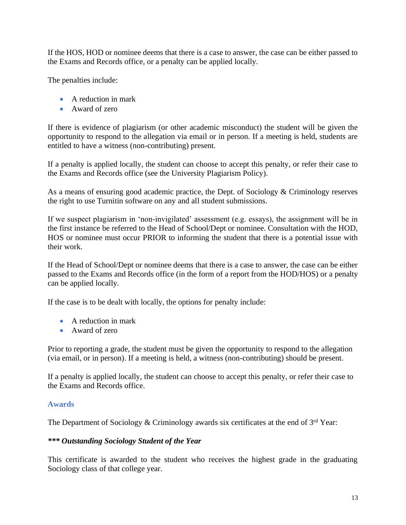If the HOS, HOD or nominee deems that there is a case to answer, the case can be either passed to the Exams and Records office, or a penalty can be applied locally.

The penalties include:

- A reduction in mark
- Award of zero

If there is evidence of plagiarism (or other academic misconduct) the student will be given the opportunity to respond to the allegation via email or in person. If a meeting is held, students are entitled to have a witness (non-contributing) present.

If a penalty is applied locally, the student can choose to accept this penalty, or refer their case to the Exams and Records office (see the University Plagiarism Policy).

As a means of ensuring good academic practice, the Dept. of Sociology & Criminology reserves the right to use Turnitin software on any and all student submissions.

If we suspect plagiarism in 'non-invigilated' assessment (e.g. essays), the assignment will be in the first instance be referred to the Head of School/Dept or nominee. Consultation with the HOD, HOS or nominee must occur PRIOR to informing the student that there is a potential issue with their work.

If the Head of School/Dept or nominee deems that there is a case to answer, the case can be either passed to the Exams and Records office (in the form of a report from the HOD/HOS) or a penalty can be applied locally.

If the case is to be dealt with locally, the options for penalty include:

- A reduction in mark
- Award of zero

Prior to reporting a grade, the student must be given the opportunity to respond to the allegation (via email, or in person). If a meeting is held, a witness (non-contributing) should be present.

If a penalty is applied locally, the student can choose to accept this penalty, or refer their case to the Exams and Records office.

### <span id="page-12-0"></span>**Awards**

The Department of Sociology & Criminology awards six certificates at the end of  $3<sup>rd</sup>$  Year:

### *\*\*\* Outstanding Sociology Student of the Year*

This certificate is awarded to the student who receives the highest grade in the graduating Sociology class of that college year.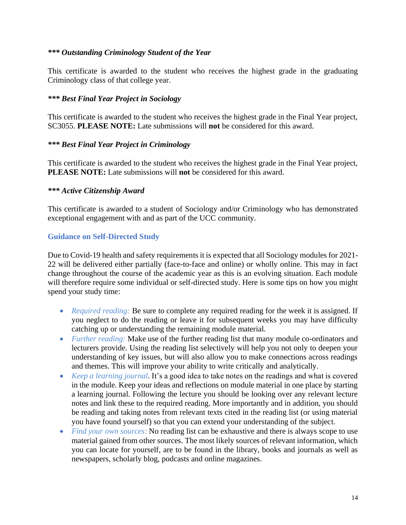## *\*\*\* Outstanding Criminology Student of the Year*

This certificate is awarded to the student who receives the highest grade in the graduating Criminology class of that college year.

## *\*\*\* Best Final Year Project in Sociology*

This certificate is awarded to the student who receives the highest grade in the Final Year project, SC3055. **PLEASE NOTE:** Late submissions will **not** be considered for this award.

## *\*\*\* Best Final Year Project in Criminology*

This certificate is awarded to the student who receives the highest grade in the Final Year project, **PLEASE NOTE:** Late submissions will **not** be considered for this award.

### *\*\*\* Active Citizenship Award*

This certificate is awarded to a student of Sociology and/or Criminology who has demonstrated exceptional engagement with and as part of the UCC community.

## <span id="page-13-0"></span>**Guidance on Self-Directed Study**

Due to Covid-19 health and safety requirements it is expected that all Sociology modules for 2021- 22 will be delivered either partially (face-to-face and online) or wholly online. This may in fact change throughout the course of the academic year as this is an evolving situation. Each module will therefore require some individual or self-directed study. Here is some tips on how you might spend your study time:

- *Required reading:* Be sure to complete any required reading for the week it is assigned. If you neglect to do the reading or leave it for subsequent weeks you may have difficulty catching up or understanding the remaining module material.
- *Further reading:* Make use of the further reading list that many module co-ordinators and lecturers provide. Using the reading list selectively will help you not only to deepen your understanding of key issues, but will also allow you to make connections across readings and themes. This will improve your ability to write critically and analytically.
- *Keep a learning journal.* It's a good idea to take notes on the readings and what is covered in the module. Keep your ideas and reflections on module material in one place by starting a learning journal. Following the lecture you should be looking over any relevant lecture notes and link these to the required reading. More importantly and in addition, you should be reading and taking notes from relevant texts cited in the reading list (or using material you have found yourself) so that you can extend your understanding of the subject.
- *Find your own sources*: No reading list can be exhaustive and there is always scope to use material gained from other sources. The most likely sources of relevant information, which you can locate for yourself, are to be found in the library, books and journals as well as newspapers, scholarly blog, podcasts and online magazines.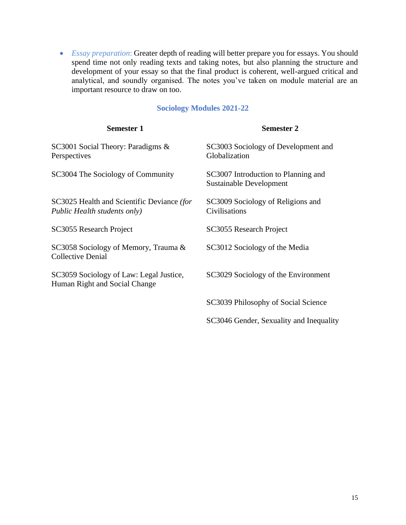• *Essay preparation*: Greater depth of reading will better prepare you for essays. You should spend time not only reading texts and taking notes, but also planning the structure and development of your essay so that the final product is coherent, well-argued critical and analytical, and soundly organised. The notes you've taken on module material are an important resource to draw on too.

# **Sociology Modules 2021-22**

<span id="page-14-0"></span>

| <b>Semester 1</b>                                                          | <b>Semester 2</b>                                              |
|----------------------------------------------------------------------------|----------------------------------------------------------------|
| SC3001 Social Theory: Paradigms &<br>Perspectives                          | SC3003 Sociology of Development and<br>Globalization           |
| SC3004 The Sociology of Community                                          | SC3007 Introduction to Planning and<br>Sustainable Development |
| SC3025 Health and Scientific Deviance (for<br>Public Health students only) | SC3009 Sociology of Religions and<br>Civilisations             |
| SC3055 Research Project                                                    | SC3055 Research Project                                        |
| SC3058 Sociology of Memory, Trauma &<br><b>Collective Denial</b>           | SC3012 Sociology of the Media                                  |
| SC3059 Sociology of Law: Legal Justice,<br>Human Right and Social Change   | SC3029 Sociology of the Environment                            |
|                                                                            | SC3039 Philosophy of Social Science                            |
|                                                                            | SC3046 Gender, Sexuality and Inequality                        |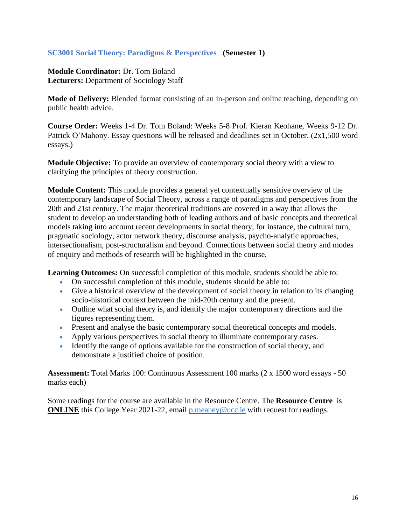## <span id="page-15-0"></span>**SC3001 Social Theory: Paradigms & Perspectives (Semester 1)**

**Module Coordinator:** Dr. Tom Boland **Lecturers:** Department of Sociology Staff

**Mode of Delivery:** Blended format consisting of an in-person and online teaching, depending on public health advice.

**Course Order:** Weeks 1-4 Dr. Tom Boland: Weeks 5-8 Prof. Kieran Keohane, Weeks 9-12 Dr. Patrick O'Mahony. Essay questions will be released and deadlines set in October. (2x1,500 word essays.)

**Module Objective:** To provide an overview of contemporary social theory with a view to clarifying the principles of theory construction.

**Module Content:** This module provides a general yet contextually sensitive overview of the contemporary landscape of Social Theory, across a range of paradigms and perspectives from the 20th and 21st century. The major theoretical traditions are covered in a way that allows the student to develop an understanding both of leading authors and of basic concepts and theoretical models taking into account recent developments in social theory, for instance, the cultural turn, pragmatic sociology, actor network theory, discourse analysis, psycho-analytic approaches, intersectionalism, post-structuralism and beyond. Connections between social theory and modes of enquiry and methods of research will be highlighted in the course.

**Learning Outcomes:** On successful completion of this module, students should be able to:

- On successful completion of this module, students should be able to:
- Give a historical overview of the development of social theory in relation to its changing socio-historical context between the mid-20th century and the present.
- Outline what social theory is, and identify the major contemporary directions and the figures representing them.
- Present and analyse the basic contemporary social theoretical concepts and models.
- Apply various perspectives in social theory to illuminate contemporary cases.
- Identify the range of options available for the construction of social theory, and demonstrate a justified choice of position.

**Assessment:** Total Marks 100: Continuous Assessment 100 marks (2 x 1500 word essays - 50 marks each)

Some readings for the course are available in the Resource Centre. The **Resource Centre** is **ONLINE** this College Year 2021-22, email [p.meaney@ucc.ie](mailto:p.meaney@ucc.ie) with request for readings.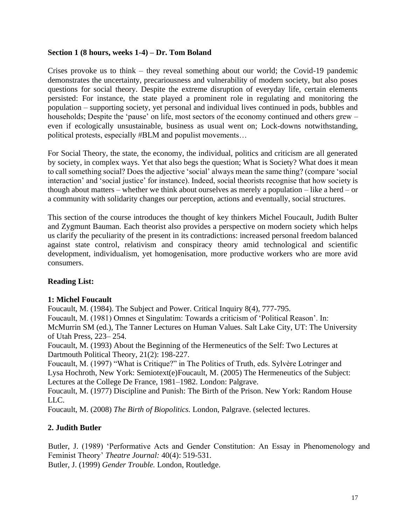## **Section 1 (8 hours, weeks 1-4) – Dr. Tom Boland**

Crises provoke us to think – they reveal something about our world; the Covid-19 pandemic demonstrates the uncertainty, precariousness and vulnerability of modern society, but also poses questions for social theory. Despite the extreme disruption of everyday life, certain elements persisted: For instance, the state played a prominent role in regulating and monitoring the population – supporting society, yet personal and individual lives continued in pods, bubbles and households; Despite the 'pause' on life, most sectors of the economy continued and others grew – even if ecologically unsustainable, business as usual went on; Lock-downs notwithstanding, political protests, especially #BLM and populist movements…

For Social Theory, the state, the economy, the individual, politics and criticism are all generated by society, in complex ways. Yet that also begs the question; What is Society? What does it mean to call something social? Does the adjective 'social' always mean the same thing? (compare 'social interaction' and 'social justice' for instance). Indeed, social theorists recognise that how society is though about matters – whether we think about ourselves as merely a population – like a herd – or a community with solidarity changes our perception, actions and eventually, social structures.

This section of the course introduces the thought of key thinkers Michel Foucault, Judith Bulter and Zygmunt Bauman. Each theorist also provides a perspective on modern society which helps us clarify the peculiarity of the present in its contradictions: increased personal freedom balanced against state control, relativism and conspiracy theory amid technological and scientific development, individualism, yet homogenisation, more productive workers who are more avid consumers.

# **Reading List:**

### **1: Michel Foucault**

Foucault, M. (1984). The Subject and Power. Critical Inquiry 8(4), 777-795.

Foucault, M. (1981) Omnes et Singulatim: Towards a criticism of 'Political Reason'. In:

McMurrin SM (ed.), The Tanner Lectures on Human Values. Salt Lake City, UT: The University of Utah Press, 223– 254.

Foucault, M. (1993) About the Beginning of the Hermeneutics of the Self: Two Lectures at Dartmouth Political Theory, 21(2): 198-227.

Foucault, M. (1997) "What is Critique?" in The Politics of Truth, eds. Sylvère Lotringer and Lysa Hochroth, New York: Semiotext(e)Foucault, M. (2005) The Hermeneutics of the Subject: Lectures at the College De France, 1981–1982. London: Palgrave.

Foucault, M. (1977) Discipline and Punish: The Birth of the Prison. New York: Random House LLC.

Foucault, M. (2008) *The Birth of Biopolitics.* London, Palgrave. (selected lectures.

# **2. Judith Butler**

Butler, J. (1989) 'Performative Acts and Gender Constitution: An Essay in Phenomenology and Feminist Theory' *Theatre Journal:* 40(4): 519-531.

Butler, J. (1999) *Gender Trouble.* London, Routledge.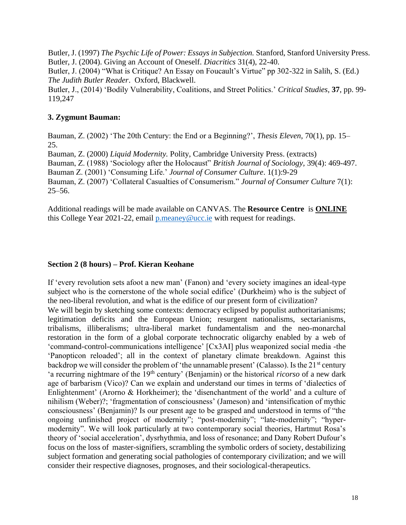Butler, J. (1997) *The Psychic Life of Power: Essays in Subjection.* Stanford, Stanford University Press. Butler, J. (2004). Giving an Account of Oneself. *Diacritics* 31(4), 22-40.

Butler, J. (2004) "What is Critique? An Essay on Foucault's Virtue" pp 302-322 in Salih, S. (Ed.) *The Judith Butler Reader*. Oxford, Blackwell.

Butler, J., (2014) 'Bodily Vulnerability, Coalitions, and Street Politics.' *Critical Studies,* **37**, pp. 99- 119,247

## **3. Zygmunt Bauman:**

Bauman, Z. (2002) 'The 20th Century: the End or a Beginning?', *Thesis Eleven*, 70(1), pp. 15– 25.

Bauman, Z. (2000) *Liquid Modernity.* Polity, Cambridge University Press. (extracts)

Bauman, Z. (1988) 'Sociology after the Holocaust" *British Journal of Sociology,* 39(4): 469-497.

Bauman Z. (2001) 'Consuming Life.' *Journal of Consumer Culture*. 1(1):9-29

Bauman, Z. (2007) 'Collateral Casualties of Consumerism." *Journal of Consumer Culture* 7(1): 25–56.

Additional readings will be made available on CANVAS. The **Resource Centre** is **ONLINE** this College Year 2021-22, email [p.meaney@ucc.ie](mailto:p.meaney@ucc.ie) with request for readings.

## **Section 2 (8 hours) – Prof. Kieran Keohane**

If 'every revolution sets afoot a new man' (Fanon) and 'every society imagines an ideal-type subject who is the cornerstone of the whole social edifice' (Durkheim) who is the subject of the neo-liberal revolution, and what is the edifice of our present form of civilization?

We will begin by sketching some contexts: democracy eclipsed by populist authoritarianisms; legitimation deficits and the European Union; resurgent nationalisms, sectarianisms, tribalisms, illiberalisms; ultra-liberal market fundamentalism and the neo-monarchal restoration in the form of a global corporate technocratic oligarchy enabled by a web of 'command-control-communications intelligence' [Cx3AI] plus weaponized social media -the 'Panopticon reloaded'; all in the context of planetary climate breakdown. Against this backdrop we will consider the problem of 'the unnamable present' (Calasso). Is the 21<sup>st</sup> century 'a recurring nightmare of the 19<sup>th</sup> century' (Benjamin) or the historical *ricorso* of a new dark age of barbarism (Vico)? Can we explain and understand our times in terms of 'dialectics of Enlightenment' (Arorno & Horkheimer); the 'disenchantment of the world' and a culture of nihilism (Weber)?; 'fragmentation of consciousness' (Jameson) and 'intensification of mythic consciousness' (Benjamin)? Is our present age to be grasped and understood in terms of "the ongoing unfinished project of modernity"; "post-modernity"; "late-modernity"; "hypermodernity". We will look particularly at two contemporary social theories, Hartmut Rosa's theory of 'social acceleration', dysrhythmia, and loss of resonance; and Dany Robert Dufour's focus on the loss of master-signifiers, scrambling the symbolic orders of society, destabilizing subject formation and generating social pathologies of contemporary civilization; and we will consider their respective diagnoses, prognoses, and their sociological-therapeutics.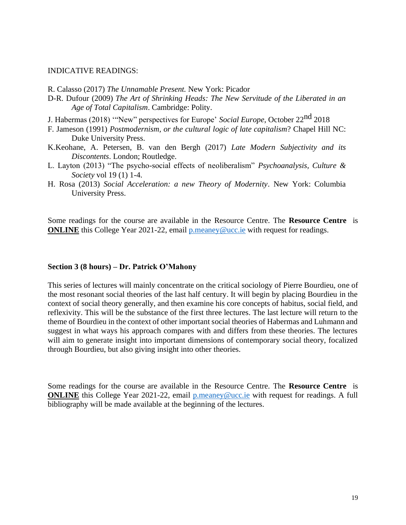#### INDICATIVE READINGS:

- R. Calasso (2017) *The Unnamable Present.* New York: Picador
- D-R. Dufour (2009) *The Art of Shrinking Heads: The New Servitude of the Liberated in an Age of Total Capitalism*. Cambridge: Polity.
- J. Habermas (2018) '"New" perspectives for Europe' *Social Europe*, October 22nd 2018
- F. Jameson (1991) *Postmodernism, or the cultural logic of late capitalism*? Chapel Hill NC: Duke University Press.
- K.Keohane, A. Petersen, B. van den Bergh (2017) *Late Modern Subjectivity and its Discontents*. London; Routledge.
- L. Layton (2013) "The psycho-social effects of neoliberalism" *Psychoanalysis, Culture & Society* vol 19 (1) 1-4.
- H. Rosa (2013) *Social Acceleration: a new Theory of Modernity*. New York: Columbia University Press.

Some readings for the course are available in the Resource Centre. The **Resource Centre** is **ONLINE** this College Year 2021-22, email [p.meaney@ucc.ie](mailto:p.meaney@ucc.ie) with request for readings.

#### **Section 3 (8 hours) – Dr. Patrick O'Mahony**

This series of lectures will mainly concentrate on the critical sociology of Pierre Bourdieu, one of the most resonant social theories of the last half century. It will begin by placing Bourdieu in the context of social theory generally, and then examine his core concepts of habitus, social field, and reflexivity. This will be the substance of the first three lectures. The last lecture will return to the theme of Bourdieu in the context of other important social theories of Habermas and Luhmann and suggest in what ways his approach compares with and differs from these theories. The lectures will aim to generate insight into important dimensions of contemporary social theory, focalized through Bourdieu, but also giving insight into other theories.

Some readings for the course are available in the Resource Centre. The **Resource Centre** is **ONLINE** this College Year 2021-22, email [p.meaney@ucc.ie](mailto:p.meaney@ucc.ie) with request for readings. A full bibliography will be made available at the beginning of the lectures.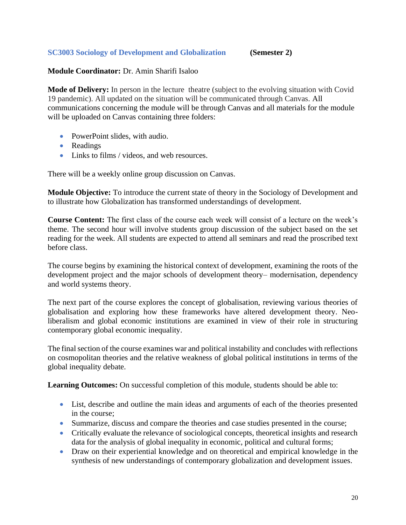# <span id="page-19-0"></span>**SC3003 Sociology of Development and Globalization (Semester 2)**

## **Module Coordinator:** Dr. Amin Sharifi Isaloo

**Mode of Delivery:** In person in the lecture theatre (subject to the evolving situation with Covid 19 pandemic). All updated on the situation will be communicated through Canvas. All communications concerning the module will be through Canvas and all materials for the module will be uploaded on Canvas containing three folders:

- PowerPoint slides, with audio.
- Readings
- Links to films / videos, and web resources.

There will be a weekly online group discussion on Canvas.

**Module Objective:** To introduce the current state of theory in the Sociology of Development and to illustrate how Globalization has transformed understandings of development.

**Course Content:** The first class of the course each week will consist of a lecture on the week's theme. The second hour will involve students group discussion of the subject based on the set reading for the week. All students are expected to attend all seminars and read the proscribed text before class.

The course begins by examining the historical context of development, examining the roots of the development project and the major schools of development theory– modernisation, dependency and world systems theory.

The next part of the course explores the concept of globalisation, reviewing various theories of globalisation and exploring how these frameworks have altered development theory. Neoliberalism and global economic institutions are examined in view of their role in structuring contemporary global economic inequality.

The final section of the course examines war and political instability and concludes with reflections on cosmopolitan theories and the relative weakness of global political institutions in terms of the global inequality debate.

**Learning Outcomes:** On successful completion of this module, students should be able to:

- List, describe and outline the main ideas and arguments of each of the theories presented in the course;
- Summarize, discuss and compare the theories and case studies presented in the course;
- Critically evaluate the relevance of sociological concepts, theoretical insights and research data for the analysis of global inequality in economic, political and cultural forms;
- Draw on their experiential knowledge and on theoretical and empirical knowledge in the synthesis of new understandings of contemporary globalization and development issues.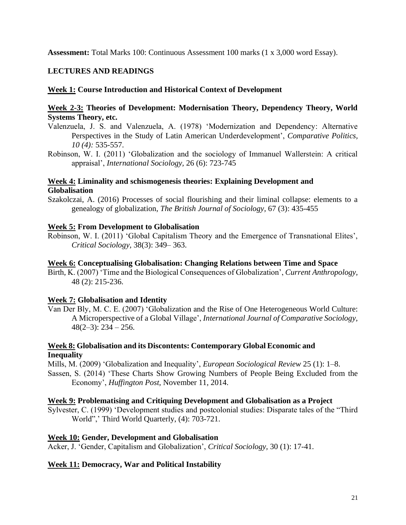**Assessment:** Total Marks 100: Continuous Assessment 100 marks (1 x 3,000 word Essay).

# **LECTURES AND READINGS**

## **Week 1: Course Introduction and Historical Context of Development**

## **Week 2-3: Theories of Development: Modernisation Theory, Dependency Theory, World Systems Theory, etc.**

- Valenzuela, J. S. and Valenzuela, A. (1978) 'Modernization and Dependency: Alternative Perspectives in the Study of Latin American Underdevelopment', *Comparative Politics, 10 (4):* 535-557.
- Robinson, W. I. (2011) 'Globalization and the sociology of Immanuel Wallerstein: A critical appraisal', *International Sociology,* 26 (6): 723-745

## **Week 4: Liminality and schismogenesis theories: Explaining Development and Globalisation**

Szakolczai, A. (2016) Processes of social flourishing and their liminal collapse: elements to a genealogy of globalization, *The British Journal of Sociology,* 67 (3): 435-455

## **Week 5: From Development to Globalisation**

Robinson, W. I. (2011) 'Global Capitalism Theory and the Emergence of Transnational Elites', *Critical Sociology,* 38(3): 349– 363.

### **Week 6: Conceptualising Globalisation: Changing Relations between Time and Space**

Birth, K. (2007) 'Time and the Biological Consequences of Globalization', *Current Anthropology,*  48 (2): 215-236.

### **Week 7: Globalisation and Identity**

Van Der Bly, M. C. E. (2007) 'Globalization and the Rise of One Heterogeneous World Culture: A Microperspective of a Global Village', *International Journal of Comparative Sociology,*   $48(2-3)$ : 234 – 256.

## **Week 8: Globalisation and its Discontents: Contemporary Global Economic and Inequality**

Mills, M. (2009) 'Globalization and Inequality', *European Sociological Review* 25 (1): 1–8. Sassen, S. (2014) 'These Charts Show Growing Numbers of People Being Excluded from the Economy', *Huffington Post,* November 11, 2014.

### **Week 9: Problematising and Critiquing Development and Globalisation as a Project**

Sylvester, C. (1999) 'Development studies and postcolonial studies: Disparate tales of the "Third World",' Third World Quarterly, (4): 703-721.

### **Week 10: Gender, Development and Globalisation**

Acker, J. 'Gender, Capitalism and Globalization', *Critical Sociology,* 30 (1): 17-41.

# **Week 11: Democracy, War and Political Instability**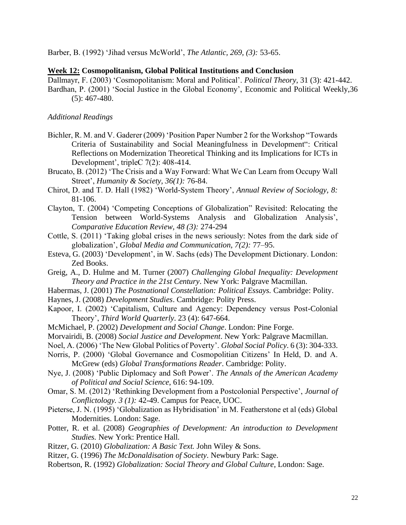Barber, B. (1992) 'Jihad versus McWorld', *The Atlantic, 269, (3):* 53-65.

#### **Week 12: Cosmopolitanism, Global Political Institutions and Conclusion**

Dallmayr, F. (2003) 'Cosmopolitanism: Moral and Political'. *Political Theory*, 31 (3): 421-442. Bardhan, P. (2001) 'Social Justice in the Global Economy', Economic and Political Weekly,36 (5): 467-480.

### *Additional Readings*

- Bichler, R. M. and V. Gaderer (2009) 'Position Paper Number 2 for the Workshop "Towards Criteria of Sustainability and Social Meaningfulness in Development": Critical Reflections on Modernization Theoretical Thinking and its Implications for ICTs in Development', tripleC 7(2): 408-414.
- Brucato, B. (2012) 'The Crisis and a Way Forward: What We Can Learn from Occupy Wall Street', *Humanity & Society, 36(1):* 76-84.
- Chirot, D. and T. D. Hall (1982) 'World-System Theory', *Annual Review of Sociology, 8:* 81-106.
- Clayton, T. (2004) 'Competing Conceptions of Globalization" Revisited: Relocating the Tension between World‐Systems Analysis and Globalization Analysis', *Comparative Education Review, 48 (3):* 274-294
- Cottle, S. (2011) 'Taking global crises in the news seriously: Notes from the dark side of globalization', *Global Media and Communication, 7(2):* 77–95.
- Esteva, G. (2003) 'Development', in W. Sachs (eds) The Development Dictionary. London: Zed Books.
- Greig, A., D. Hulme and M. Turner (2007) *Challenging Global Inequality: Development Theory and Practice in the 21st Century*. New York: Palgrave Macmillan.
- Habermas, J. (2001) *The Postnational Constellation: Political Essays.* Cambridge: Polity.
- Haynes, J. (2008) *Development Studies*. Cambridge: Polity Press.
- Kapoor, I. (2002) 'Capitalism, Culture and Agency: Dependency versus Post-Colonial Theory', *Third World Quarterly*. 23 (4): 647-664.
- McMichael, P. (2002) *Development and Social Change*. London: Pine Forge.
- Morvairidi, B. (2008) *Social Justice and Development*. New York: Palgrave Macmillan.
- Noel, A. (2006) 'The New Global Politics of Poverty'. *Global Social Policy*. 6 (3): 304-333.
- Norris, P. (2000) 'Global Governance and Cosmopolitian Citizens' In Held, D. and A. McGrew (eds) *Global Transformations Reader*. Cambridge: Polity.
- Nye, J. (2008) 'Public Diplomacy and Soft Power'. *The Annals of the American Academy of Political and Social Science*, 616: 94-109.
- Omar, S. M. (2012) 'Rethinking Development from a Postcolonial Perspective', *Journal of Conflictology. 3 (1):* 42-49. Campus for Peace, UOC.
- Pieterse, J. N. (1995) 'Globalization as Hybridisation' in M. Featherstone et al (eds) Global Modernities. London: Sage.
- Potter, R. et al. (2008) *Geographies of Development: An introduction to Development Studies.* New York: Prentice Hall.
- Ritzer, G. (2010) *Globalization: A Basic Text.* John Wiley & Sons.
- Ritzer, G. (1996) *The McDonaldisation of Society*. Newbury Park: Sage.
- Robertson, R. (1992) *Globalization: Social Theory and Global Culture*, London: Sage.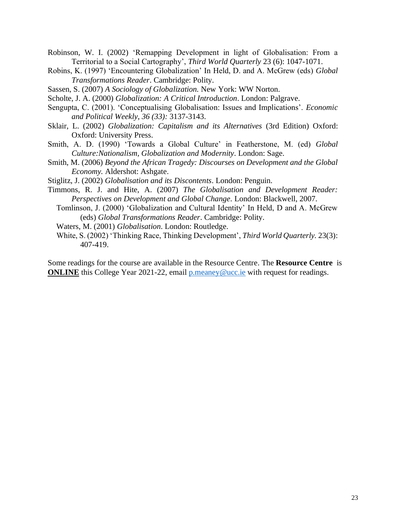- Robinson, W. I. (2002) 'Remapping Development in light of Globalisation: From a Territorial to a Social Cartography', *Third World Quarterly* 23 (6): 1047-1071.
- Robins, K. (1997) 'Encountering Globalization' In Held, D. and A. McGrew (eds) *Global Transformations Reader*. Cambridge: Polity.
- Sassen, S. (2007) *A Sociology of Globalization.* New York: WW Norton.
- Scholte, J. A. (2000) *Globalization: A Critical Introduction*. London: Palgrave.
- Sengupta, C. (2001). 'Conceptualising Globalisation: Issues and Implications'. *Economic and Political Weekly*, *36 (33):* 3137-3143.
- Sklair, L. (2002) *Globalization: Capitalism and its Alternatives* (3rd Edition) Oxford: Oxford: University Press.
- Smith, A. D. (1990) 'Towards a Global Culture' in Featherstone, M. (ed) *Global Culture:Nationalism, Globalization and Modernity*. London: Sage.
- Smith, M. (2006) *Beyond the African Tragedy: Discourses on Development and the Global Economy.* Aldershot: Ashgate.
- Stiglitz, J. (2002) *Globalisation and its Discontents*. London: Penguin.
- Timmons, R. J. and Hite, A. (2007) *The Globalisation and Development Reader: Perspectives on Development and Global Change*. London: Blackwell, 2007.
	- Tomlinson, J. (2000) 'Globalization and Cultural Identity' In Held, D and A. McGrew (eds) *Global Transformations Reader*. Cambridge: Polity.
	- Waters, M. (2001) *Globalisation*. London: Routledge.
	- White, S. (2002) 'Thinking Race, Thinking Development', *Third World Quarterly.* 23(3): 407-419.

Some readings for the course are available in the Resource Centre. The **Resource Centre** is **ONLINE** this College Year 2021-22, email [p.meaney@ucc.ie](mailto:p.meaney@ucc.ie) with request for readings.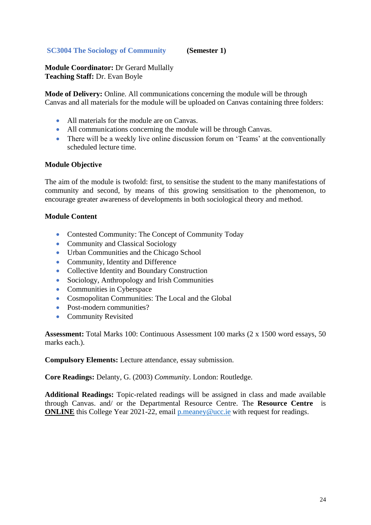## <span id="page-23-0"></span>**SC3004 The Sociology of Community (Semester 1)**

**Module Coordinator:** Dr Gerard Mullally **Teaching Staff:** Dr. Evan Boyle

**Mode of Delivery:** Online. All communications concerning the module will be through Canvas and all materials for the module will be uploaded on Canvas containing three folders:

- All materials for the module are on Canvas.
- All communications concerning the module will be through Canvas.
- There will be a weekly live online discussion forum on 'Teams' at the conventionally scheduled lecture time.

### **Module Objective**

The aim of the module is twofold: first, to sensitise the student to the many manifestations of community and second, by means of this growing sensitisation to the phenomenon, to encourage greater awareness of developments in both sociological theory and method.

### **Module Content**

- Contested Community: The Concept of Community Today
- Community and Classical Sociology
- Urban Communities and the Chicago School
- Community, Identity and Difference
- Collective Identity and Boundary Construction
- Sociology, Anthropology and Irish Communities
- Communities in Cyberspace
- Cosmopolitan Communities: The Local and the Global
- Post-modern communities?
- Community Revisited

**Assessment:** Total Marks 100: Continuous Assessment 100 marks (2 x 1500 word essays, 50 marks each.).

**Compulsory Elements:** Lecture attendance, essay submission.

**Core Readings:** Delanty, G. (2003) *Community*. London: Routledge.

**Additional Readings:** Topic-related readings will be assigned in class and made available through Canvas. and/ or the Departmental Resource Centre. The **Resource Centre** is **ONLINE** this College Year 2021-22, email **p**.meaney@ucc.ie with request for readings.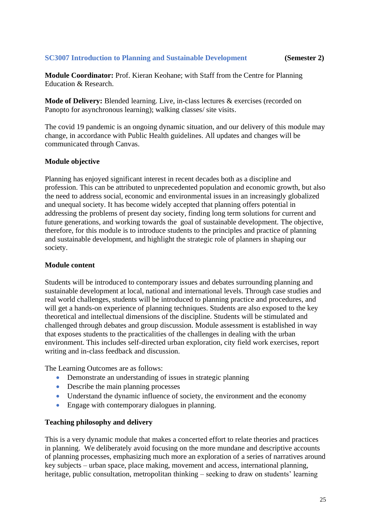## <span id="page-24-0"></span>**SC3007 Introduction to Planning and Sustainable Development (Semester 2)**

**Module Coordinator:** Prof. Kieran Keohane; with Staff from the Centre for Planning Education & Research.

**Mode of Delivery:** Blended learning. Live, in-class lectures & exercises (recorded on Panopto for asynchronous learning); walking classes/ site visits.

The covid 19 pandemic is an ongoing dynamic situation, and our delivery of this module may change, in accordance with Public Health guidelines. All updates and changes will be communicated through Canvas.

## **Module objective**

Planning has enjoyed significant interest in recent decades both as a discipline and profession. This can be attributed to unprecedented population and economic growth, but also the need to address social, economic and environmental issues in an increasingly globalized and unequal society. It has become widely accepted that planning offers potential in addressing the problems of present day society, finding long term solutions for current and future generations, and working towards the goal of sustainable development. The objective, therefore, for this module is to introduce students to the principles and practice of planning and sustainable development, and highlight the strategic role of planners in shaping our society.

## **Module content**

Students will be introduced to contemporary issues and debates surrounding planning and sustainable development at local, national and international levels. Through case studies and real world challenges, students will be introduced to planning practice and procedures, and will get a hands-on experience of planning techniques. Students are also exposed to the key theoretical and intellectual dimensions of the discipline. Students will be stimulated and challenged through debates and group discussion. Module assessment is established in way that exposes students to the practicalities of the challenges in dealing with the urban environment. This includes self-directed urban exploration, city field work exercises, report writing and in-class feedback and discussion.

The Learning Outcomes are as follows:

- Demonstrate an understanding of issues in strategic planning
- Describe the main planning processes
- Understand the dynamic influence of society, the environment and the economy
- Engage with contemporary dialogues in planning.

### **Teaching philosophy and delivery**

This is a very dynamic module that makes a concerted effort to relate theories and practices in planning. We deliberately avoid focusing on the more mundane and descriptive accounts of planning processes, emphasizing much more an exploration of a series of narratives around key subjects – urban space, place making, movement and access, international planning, heritage, public consultation, metropolitan thinking – seeking to draw on students' learning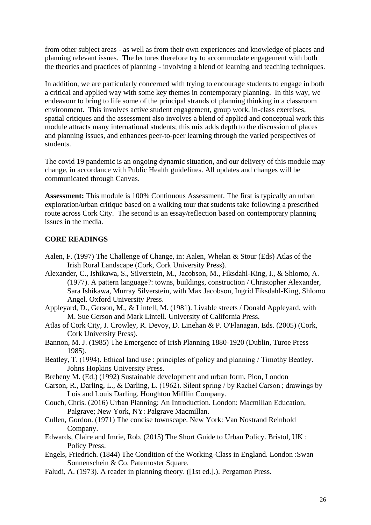from other subject areas - as well as from their own experiences and knowledge of places and planning relevant issues. The lectures therefore try to accommodate engagement with both the theories and practices of planning - involving a blend of learning and teaching techniques.

In addition, we are particularly concerned with trying to encourage students to engage in both a critical and applied way with some key themes in contemporary planning. In this way, we endeavour to bring to life some of the principal strands of planning thinking in a classroom environment. This involves active student engagement, group work, in-class exercises, spatial critiques and the assessment also involves a blend of applied and conceptual work this module attracts many international students; this mix adds depth to the discussion of places and planning issues, and enhances peer-to-peer learning through the varied perspectives of students.

The covid 19 pandemic is an ongoing dynamic situation, and our delivery of this module may change, in accordance with Public Health guidelines. All updates and changes will be communicated through Canvas.

**Assessment:** This module is 100% Continuous Assessment. The first is typically an urban exploration/urban critique based on a walking tour that students take following a prescribed route across Cork City. The second is an essay/reflection based on contemporary planning issues in the media.

## **CORE READINGS**

- Aalen, F. (1997) The Challenge of Change, in: Aalen, Whelan & Stour (Eds) Atlas of the Irish Rural Landscape (Cork, Cork University Press).
- Alexander, C., Ishikawa, S., Silverstein, M., Jacobson, M., Fiksdahl-King, I., & Shlomo, A. (1977). A pattern language?: towns, buildings, construction / Christopher Alexander, Sara Ishikawa, Murray Silverstein, with Max Jacobson, Ingrid Fiksdahl-King, Shlomo Angel. Oxford University Press.
- Appleyard, D., Gerson, M., & Lintell, M. (1981). Livable streets / Donald Appleyard, with M. Sue Gerson and Mark Lintell. University of California Press.
- Atlas of Cork City, J. Crowley, R. Devoy, D. Linehan & P. O'Flanagan, Eds. (2005) (Cork, Cork University Press).
- Bannon, M. J. (1985) The Emergence of Irish Planning 1880-1920 (Dublin, Turoe Press 1985).
- Beatley, T. (1994). Ethical land use : principles of policy and planning / Timothy Beatley. Johns Hopkins University Press.
- Breheny M. (Ed.) (1992) Sustainable development and urban form, Pion, London
- Carson, R., Darling, L., & Darling, L. (1962). Silent spring / by Rachel Carson ; drawings by Lois and Louis Darling. Houghton Mifflin Company.
- Couch, Chris. (2016) Urban Planning: An Introduction. London: Macmillan Education, Palgrave; New York, NY: Palgrave Macmillan.
- Cullen, Gordon. (1971) The concise townscape. New York: Van Nostrand Reinhold Company.
- Edwards, Claire and Imrie, Rob. (2015) The Short Guide to Urban Policy. Bristol, UK : Policy Press.
- Engels, Friedrich. (1844) The Condition of the Working-Class in England. London :Swan Sonnenschein & Co. Paternoster Square.
- Faludi, A. (1973). A reader in planning theory. ([1st ed.].). Pergamon Press.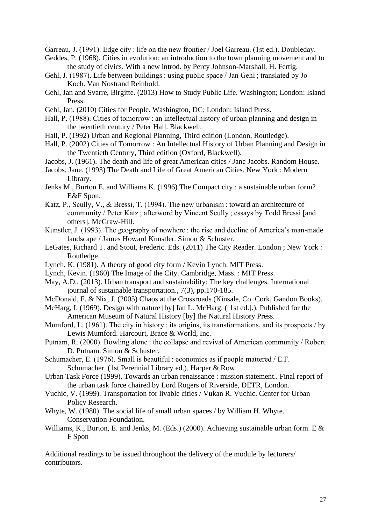Garreau, J. (1991). Edge city : life on the new frontier / Joel Garreau. (1st ed.). Doubleday.

- Geddes, P. (1968). Cities in evolution; an introduction to the town planning movement and to the study of civics. With a new introd. by Percy Johnson-Marshall. H. Fertig.
- Gehl, J. (1987). Life between buildings : using public space / Jan Gehl ; translated by Jo Koch. Van Nostrand Reinhold.
- Gehl, Jan and Svarre, Birgitte. (2013) How to Study Public Life. Washington; London: Island Press.
- Gehl, Jan. (2010) Cities for People. Washington, DC; London: Island Press.
- Hall, P. (1988). Cities of tomorrow : an intellectual history of urban planning and design in the twentieth century / Peter Hall. Blackwell.
- Hall, P. (1992) Urban and Regional Planning, Third edition (London, Routledge).
- Hall, P. (2002) Cities of Tomorrow : An Intellectual History of Urban Planning and Design in the Twentieth Century, Third edition (Oxford, Blackwell).
- Jacobs, J. (1961). The death and life of great American cities / Jane Jacobs. Random House.
- Jacobs, Jane. (1993) The Death and Life of Great American Cities. New York : Modern Library.
- Jenks M., Burton E. and Williams K. (1996) The Compact city : a sustainable urban form? E&F Spon.
- Katz, P., Scully, V., & Bressi, T. (1994). The new urbanism : toward an architecture of community / Peter Katz ; afterword by Vincent Scully ; essays by Todd Bressi [and others]. McGraw-Hill.
- Kunstler, J. (1993). The geography of nowhere : the rise and decline of America's man-made landscape / James Howard Kunstler. Simon & Schuster.
- LeGates, Richard T. and Stout, Frederic. Eds. (2011) The City Reader. London ; New York : Routledge.
- Lynch, K. (1981). A theory of good city form / Kevin Lynch. MIT Press.
- Lynch, Kevin. (1960) The Image of the City. Cambridge, Mass. : MIT Press.
- May, A.D., (2013). Urban transport and sustainability: The key challenges. International journal of sustainable transportation., 7(3), pp.170-185.
- McDonald, F. & Nix, J. (2005) Chaos at the Crossroads (Kinsale, Co. Cork, Gandon Books).
- McHarg, I. (1969). Design with nature [by] Ian L. McHarg. ([1st ed.].). Published for the American Museum of Natural History [by] the Natural History Press.
- Mumford, L. (1961). The city in history : its origins, its transformations, and its prospects / by Lewis Mumford. Harcourt, Brace & World, Inc.
- Putnam, R. (2000). Bowling alone : the collapse and revival of American community / Robert D. Putnam. Simon & Schuster.
- Schumacher, E. (1976). Small is beautiful : economics as if people mattered / E.F. Schumacher. (1st Perennial Library ed.). Harper & Row.
- Urban Task Force (1999). Towards an urban renaissance : mission statement.. Final report of the urban task force chaired by Lord Rogers of Riverside, DETR, London.
- Vuchic, V. (1999). Transportation for livable cities / Vukan R. Vuchic. Center for Urban Policy Research.
- Whyte, W. (1980). The social life of small urban spaces / by William H. Whyte. Conservation Foundation.
- Williams, K., Burton, E. and Jenks, M. (Eds.) (2000). Achieving sustainable urban form. E & F Spon

Additional readings to be issued throughout the delivery of the module by lecturers/ contributors.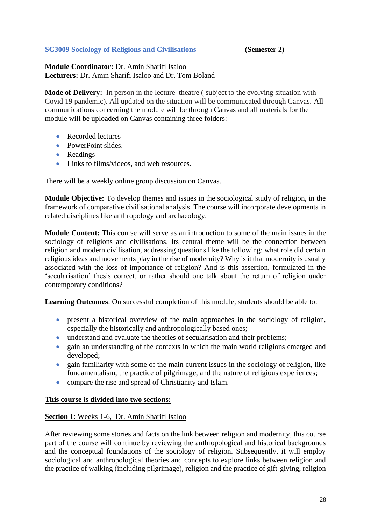# <span id="page-27-0"></span>**SC3009 Sociology of Religions and Civilisations (Semester 2)**

**Module Coordinator:** Dr. Amin Sharifi Isaloo **Lecturers:** Dr. Amin Sharifi Isaloo and Dr. Tom Boland

**Mode of Delivery:** In person in the lecture theatre ( subject to the evolving situation with Covid 19 pandemic). All updated on the situation will be communicated through Canvas. All communications concerning the module will be through Canvas and all materials for the module will be uploaded on Canvas containing three folders:

- Recorded lectures
- PowerPoint slides.
- Readings
- Links to films/videos, and web resources.

There will be a weekly online group discussion on Canvas.

**Module Objective:** To develop themes and issues in the sociological study of religion, in the framework of comparative civilisational analysis. The course will incorporate developments in related disciplines like anthropology and archaeology.

**Module Content:** This course will serve as an introduction to some of the main issues in the sociology of religions and civilisations. Its central theme will be the connection between religion and modern civilisation, addressing questions like the following: what role did certain religious ideas and movements play in the rise of modernity? Why is it that modernity is usually associated with the loss of importance of religion? And is this assertion, formulated in the 'secularisation' thesis correct, or rather should one talk about the return of religion under contemporary conditions?

**Learning Outcomes**: On successful completion of this module, students should be able to:

- present a historical overview of the main approaches in the sociology of religion, especially the historically and anthropologically based ones;
- understand and evaluate the theories of secularisation and their problems:
- gain an understanding of the contexts in which the main world religions emerged and developed;
- gain familiarity with some of the main current issues in the sociology of religion, like fundamentalism, the practice of pilgrimage, and the nature of religious experiences;
- compare the rise and spread of Christianity and Islam.

### **This course is divided into two sections:**

### **Section 1**: Weeks 1-6, Dr. Amin Sharifi Isaloo

After reviewing some stories and facts on the link between religion and modernity, this course part of the course will continue by reviewing the anthropological and historical backgrounds and the conceptual foundations of the sociology of religion. Subsequently, it will employ sociological and anthropological theories and concepts to explore links between religion and the practice of walking (including pilgrimage), religion and the practice of gift-giving, religion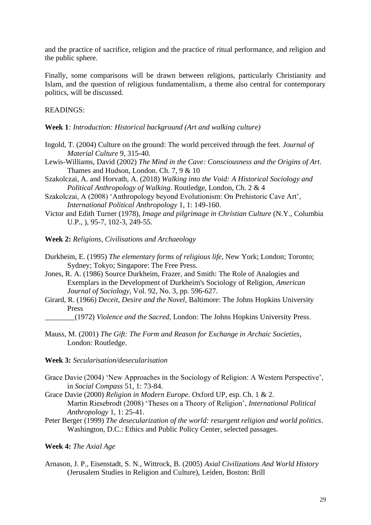and the practice of sacrifice, religion and the practice of ritual performance, and religion and the public sphere.

Finally, some comparisons will be drawn between religions, particularly Christianity and Islam, and the question of religious fundamentalism, a theme also central for contemporary politics, will be discussed.

#### READINGS:

- **Week 1***: Introduction: Historical background (Art and walking culture)*
- Ingold, T. (2004) Culture on the ground: The world perceived through the feet. *Journal of Material Culture* 9, 315-40.
- Lewis-Williams, David (2002) *The Mind in the Cave: Consciousness and the Origins of Art*. Thames and Hudson, London. Ch. 7, 9 & 10
- Szakolczai, A. and Horvath, A. (2018) *Walking into the Void: A Historical Sociology and Political Anthropology of Walking*. Routledge, London, Ch. 2 & 4
- Szakolczai, A (2008) 'Anthropology beyond Evolutionism: On Prehistoric Cave Art', *International Political Anthropology* 1, 1: 149-160.
- Victor and Edith Turner (1978), *Image and pilgrimage in Christian Culture* (N.Y., Columbia U.P., ), 95-7, 102-3, 249-55.
- **Week 2:** *Religions, Civilisations and Archaeology*
- Durkheim, E. (1995) *The elementary forms of religious life*, New York; London; Toronto; Sydney; Tokyo; Singapore: The Free Press.
- Jones, R. A. (1986) Source Durkheim, Frazer, and Smith: The Role of Analogies and Exemplars in the Development of Durkheim's Sociology of Religion, *American Journal of Sociology*, Vol. 92, No. 3, pp. 596-627.
- Girard, R. (1966) *Deceit, Desire and the Novel,* Baltimore: The Johns Hopkins University Press
	- \_\_\_\_\_\_\_\_(1972) *Violence and the Sacred,* London: The Johns Hopkins University Press.
- Mauss, M. (2001) *The Gift: The Form and Reason for Exchange in Archaic Societies*, London: Routledge.

#### **Week 3:** *Secularisation/desecularisation*

- Grace Davie (2004) 'New Approaches in the Sociology of Religion: A Western Perspective', in *Social Compass* 51, 1: 73-84.
- Grace Davie (2000) *Religion in Modern Europe*. Oxford UP, esp. Ch. 1 & 2. Martin Riesebrodt (2008) 'Theses on a Theory of Religion', *International Political Anthropology* 1, 1: 25-41.
- Peter Berger (1999) *The desecularization of the world: resurgent religion and world politics*. Washington, D.C.: Ethics and Public Policy Center, selected passages.

#### **Week 4:** *The Axial Age*

Arnason, J. P., Eisenstadt, S. N., Wittrock, B. (2005) *Axial Civilizations And World History* (Jerusalem Studies in Religion and Culture), Leiden, Boston: Brill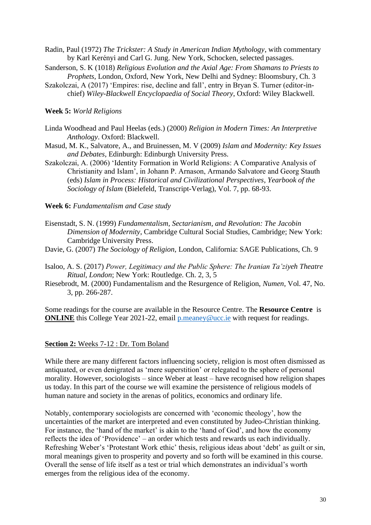Radin, Paul (1972) *The Trickster: A Study in American Indian Mythology*, with commentary by Karl Kerényi and Carl G. Jung. New York, Schocken, selected passages.

- Sanderson, S. K (1018) *Religious Evolution and the Axial Age: From Shamans to Priests to Prophets*, London, Oxford, New York, New Delhi and Sydney: Bloomsbury, Ch. 3
- Szakolczai, A (2017) 'Empires: rise, decline and fall', entry in Bryan S. Turner (editor-inchief) *Wiley-Blackwell Encyclopaedia of Social Theory*, Oxford: Wiley Blackwell.

#### **Week 5:** *World Religions*

- Linda Woodhead and Paul Heelas (eds.) (2000) *Religion in Modern Times: An Interpretive Anthology*. Oxford: Blackwell.
- Masud, M. K., Salvatore, A., and Bruinessen, M. V (2009) *Islam and Modernity: Key Issues and Debates*, Edinburgh: Edinburgh University Press.
- Szakolczai, A. (2006) 'Identity Formation in World Religions: A Comparative Analysis of Christianity and Islam', in Johann P. Arnason, Armando Salvatore and Georg Stauth (eds) *Islam in Process: Historical and Civilizational Perspectives*, *Yearbook of the Sociology of Islam* (Bielefeld, Transcript-Verlag), Vol. 7, pp. 68-93.

#### **Week 6:** *Fundamentalism and Case study*

- Eisenstadt, S. N. (1999) *Fundamentalism, Sectarianism, and Revolution: The Jacobin Dimension of Modernity*, Cambridge Cultural Social Studies, Cambridge; New York: Cambridge University Press.
- Davie, G. (2007) *The Sociology of Religion*, London, California: SAGE Publications, Ch. 9
- Isaloo, A. S. (2017) *Power, Legitimacy and the Public Sphere: The Iranian Ta'ziyeh Theatre Ritual, London*; New York: Routledge. Ch. 2, 3, 5
- Riesebrodt, M. (2000) Fundamentalism and the Resurgence of Religion, *Numen*, Vol. 47, No. 3, pp. 266-287.

Some readings for the course are available in the Resource Centre. The **Resource Centre** is **ONLINE** this College Year 2021-22, email [p.meaney@ucc.ie](mailto:p.meaney@ucc.ie) with request for readings.

#### **Section 2:** Weeks 7-12 : Dr. Tom Boland

While there are many different factors influencing society, religion is most often dismissed as antiquated, or even denigrated as 'mere superstition' or relegated to the sphere of personal morality. However, sociologists – since Weber at least – have recognised how religion shapes us today. In this part of the course we will examine the persistence of religious models of human nature and society in the arenas of politics, economics and ordinary life.

Notably, contemporary sociologists are concerned with 'economic theology', how the uncertainties of the market are interpreted and even constituted by Judeo-Christian thinking. For instance, the 'hand of the market' is akin to the 'hand of God', and how the economy reflects the idea of 'Providence' – an order which tests and rewards us each individually. Refreshing Weber's 'Protestant Work ethic' thesis, religious ideas about 'debt' as guilt or sin, moral meanings given to prosperity and poverty and so forth will be examined in this course. Overall the sense of life itself as a test or trial which demonstrates an individual's worth emerges from the religious idea of the economy.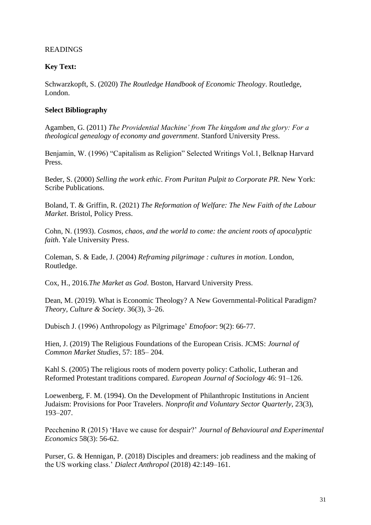# READINGS

## **Key Text:**

Schwarzkopft, S. (2020) *The Routledge Handbook of Economic Theology*. Routledge, London.

## **Select Bibliography**

Agamben, G. (2011) *The Providential Machine' from The kingdom and the glory: For a theological genealogy of economy and government*. Stanford University Press.

Benjamin, W. (1996) "Capitalism as Religion" Selected Writings Vol.1, Belknap Harvard Press.

Beder, S. (2000) *Selling the work ethic. From Puritan Pulpit to Corporate PR*. New York: Scribe Publications.

Boland, T. & Griffin, R. (2021) *The Reformation of Welfare: The New Faith of the Labour Market*. Bristol, Policy Press.

Cohn, N. (1993). *Cosmos, chaos, and the world to come: the ancient roots of apocalyptic faith*. Yale University Press.

Coleman, S. & Eade, J. (2004) *Reframing pilgrimage : cultures in motion*. London, Routledge.

Cox, H., 2016.*The Market as God*. Boston, Harvard University Press.

Dean, M. (2019). What is Economic Theology? A New Governmental-Political Paradigm? *Theory, Culture & Society*. 36(3), 3–26.

Dubisch J. (1996) Anthropology as Pilgrimage' *Etnofoor*: 9(2): 66-77.

Hien, J. (2019) The Religious Foundations of the European Crisis. JCMS: *Journal of Common Market Studies*, 57: 185– 204.

Kahl S. (2005) The religious roots of modern poverty policy: Catholic, Lutheran and Reformed Protestant traditions compared. *European Journal of Sociology* 46: 91–126.

Loewenberg, F. M. (1994). On the Development of Philanthropic Institutions in Ancient Judaism: Provisions for Poor Travelers. *Nonprofit and Voluntary Sector Quarterly*, 23(3), 193–207.

Pecchenino R (2015) 'Have we cause for despair?' *Journal of Behavioural and Experimental Economics* 58(3): 56-62.

Purser, G. & Hennigan, P. (2018) Disciples and dreamers: job readiness and the making of the US working class.' *Dialect Anthropol* (2018) 42:149–161.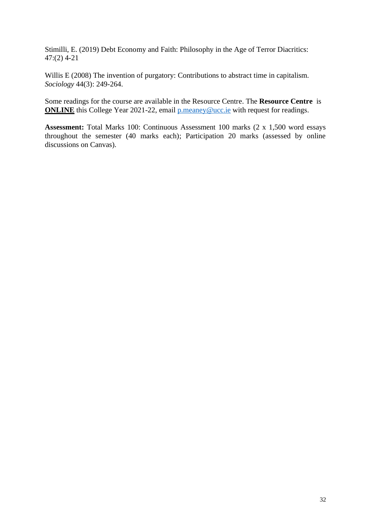Stimilli, E. (2019) Debt Economy and Faith: Philosophy in the Age of Terror Diacritics: 47:(2) 4-21

Willis E (2008) The invention of purgatory: Contributions to abstract time in capitalism. *Sociology* 44(3): 249-264.

Some readings for the course are available in the Resource Centre. The **Resource Centre** is **ONLINE** this College Year 2021-22, email **p**.meaney@ucc.ie with request for readings.

**Assessment:** Total Marks 100: Continuous Assessment 100 marks (2 x 1,500 word essays throughout the semester (40 marks each); Participation 20 marks (assessed by online discussions on Canvas).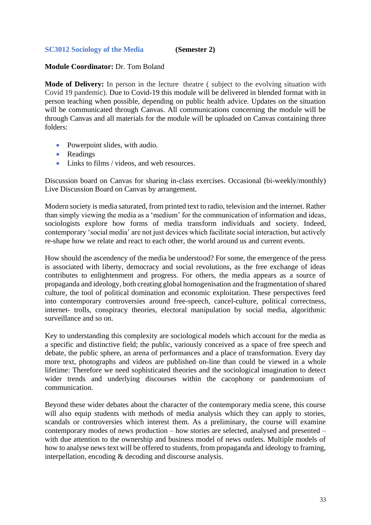## <span id="page-32-0"></span>**SC3012 Sociology of the Media (Semester 2)**

### **Module Coordinator:** Dr. Tom Boland

**Mode of Delivery:** In person in the lecture theatre ( subject to the evolving situation with Covid 19 pandemic). Due to Covid-19 this module will be delivered in blended format with in person teaching when possible, depending on public health advice. Updates on the situation will be communicated through Canvas. All communications concerning the module will be through Canvas and all materials for the module will be uploaded on Canvas containing three folders:

- Powerpoint slides, with audio.
- Readings
- Links to films / videos, and web resources.

Discussion board on Canvas for sharing in-class exercises. Occasional (bi-weekly/monthly) Live Discussion Board on Canvas by arrangement.

Modern society is media saturated, from printed text to radio, television and the internet. Rather than simply viewing the media as a 'medium' for the communication of information and ideas, sociologists explore how forms of media transform individuals and society. Indeed, contemporary 'social media' are not just devices which facilitate social interaction, but actively re-shape how we relate and react to each other, the world around us and current events.

How should the ascendency of the media be understood? For some, the emergence of the press is associated with liberty, democracy and social revolutions, as the free exchange of ideas contributes to enlightenment and progress. For others, the media appears as a source of propaganda and ideology, both creating global homogenisation and the fragmentation of shared culture, the tool of political domination and economic exploitation. These perspectives feed into contemporary controversies around free-speech, cancel-culture, political correctness, internet- trolls, conspiracy theories, electoral manipulation by social media, algorithmic surveillance and so on.

Key to understanding this complexity are sociological models which account for the media as a specific and distinctive field; the public, variously conceived as a space of free speech and debate, the public sphere, an arena of performances and a place of transformation. Every day more text, photographs and videos are published on-line than could be viewed in a whole lifetime: Therefore we need sophisticated theories and the sociological imagination to detect wider trends and underlying discourses within the cacophony or pandemonium of communication.

Beyond these wider debates about the character of the contemporary media scene, this course will also equip students with methods of media analysis which they can apply to stories, scandals or controversies which interest them. As a preliminary, the course will examine contemporary modes of news production – how stories are selected, analysed and presented – with due attention to the ownership and business model of news outlets. Multiple models of how to analyse news text will be offered to students, from propaganda and ideology to framing, interpellation, encoding & decoding and discourse analysis.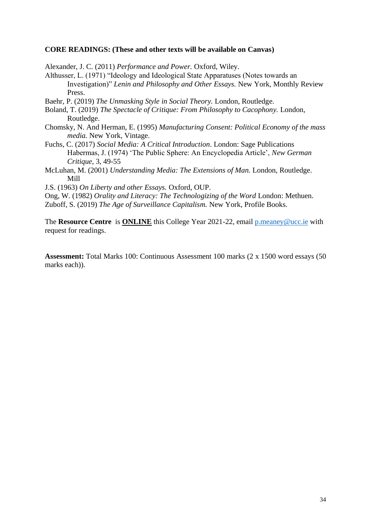#### **CORE READINGS: (These and other texts will be available on Canvas)**

Alexander, J. C. (2011) *Performance and Power.* Oxford, Wiley.

Althusser, L. (1971) "Ideology and Ideological State Apparatuses (Notes towards an Investigation)" *Lenin and Philosophy and Other Essays.* New York, Monthly Review Press.

Baehr, P. (2019) *The Unmasking Style in Social Theory.* London, Routledge.

- Boland, T. (2019) *The Spectacle of Critique: From Philosophy to Cacophony.* London, Routledge.
- Chomsky, N. And Herman, E. (1995) *Manufacturing Consent: Political Economy of the mass media.* New York, Vintage.
- Fuchs, C. (2017) *Social Media: A Critical Introduction*. London: Sage Publications Habermas, J. (1974) 'The Public Sphere: An Encyclopedia Article', *New German Critique*, 3, 49-55
- McLuhan, M. (2001) *Understanding Media: The Extensions of Man.* London, Routledge. Mill
- J.S. (1963) *On Liberty and other Essays.* Oxford, OUP.
- Ong, W. (1982) *Orality and Literacy: The Technologizing of the Word* London: Methuen.

Zuboff, S. (2019) *The Age of Surveillance Capitalism.* New York, Profile Books.

The **Resource Centre** is **ONLINE** this College Year 2021-22, email [p.meaney@ucc.ie](mailto:p.meaney@ucc.ie) with request for readings.

**Assessment:** Total Marks 100: Continuous Assessment 100 marks (2 x 1500 word essays (50 marks each)).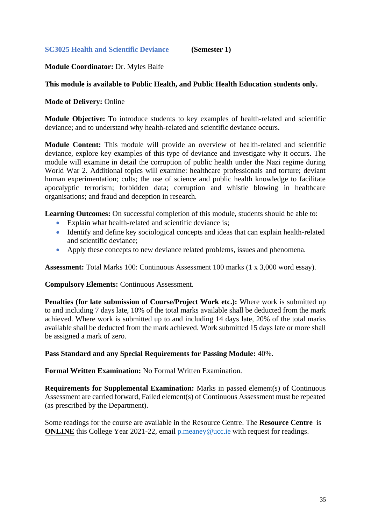## <span id="page-34-0"></span>**Module Coordinator:** Dr. Myles Balfe

## **This module is available to Public Health, and Public Health Education students only.**

## **Mode of Delivery:** Online

**Module Objective:** To introduce students to key examples of health-related and scientific deviance; and to understand why health-related and scientific deviance occurs.

**Module Content:** This module will provide an overview of health-related and scientific deviance, explore key examples of this type of deviance and investigate why it occurs. The module will examine in detail the corruption of public health under the Nazi regime during World War 2. Additional topics will examine: healthcare professionals and torture; deviant human experimentation; cults; the use of science and public health knowledge to facilitate apocalyptic terrorism; forbidden data; corruption and whistle blowing in healthcare organisations; and fraud and deception in research.

**Learning Outcomes:** On successful completion of this module, students should be able to:

- Explain what health-related and scientific deviance is;
- Identify and define key sociological concepts and ideas that can explain health-related and scientific deviance;
- Apply these concepts to new deviance related problems, issues and phenomena.

**Assessment:** Total Marks 100: Continuous Assessment 100 marks (1 x 3,000 word essay).

**Compulsory Elements:** Continuous Assessment.

**Penalties (for late submission of Course/Project Work etc.):** Where work is submitted up to and including 7 days late, 10% of the total marks available shall be deducted from the mark achieved. Where work is submitted up to and including 14 days late, 20% of the total marks available shall be deducted from the mark achieved. Work submitted 15 days late or more shall be assigned a mark of zero.

**Pass Standard and any Special Requirements for Passing Module:** 40%.

**Formal Written Examination:** No Formal Written Examination.

**Requirements for Supplemental Examination:** Marks in passed element(s) of Continuous Assessment are carried forward, Failed element(s) of Continuous Assessment must be repeated (as prescribed by the Department).

Some readings for the course are available in the Resource Centre. The **Resource Centre** is **ONLINE** this College Year 2021-22, email [p.meaney@ucc.ie](mailto:p.meaney@ucc.ie) with request for readings.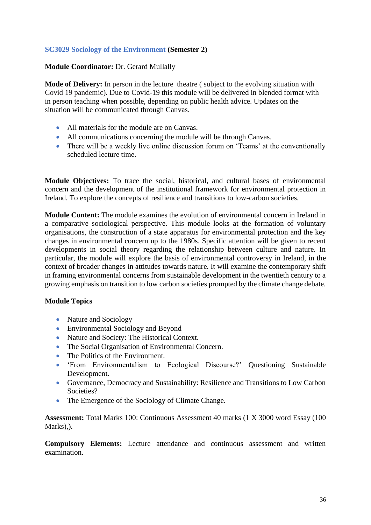# <span id="page-35-0"></span>**SC3029 Sociology of the Environment (Semester 2)**

## **Module Coordinator:** Dr. Gerard Mullally

**Mode of Delivery:** In person in the lecture theatre ( subject to the evolving situation with Covid 19 pandemic). Due to Covid-19 this module will be delivered in blended format with in person teaching when possible, depending on public health advice. Updates on the situation will be communicated through Canvas.

- All materials for the module are on Canvas.
- All communications concerning the module will be through Canvas.
- There will be a weekly live online discussion forum on 'Teams' at the conventionally scheduled lecture time.

**Module Objectives:** To trace the social, historical, and cultural bases of environmental concern and the development of the institutional framework for environmental protection in Ireland. To explore the concepts of resilience and transitions to low-carbon societies.

**Module Content:** The module examines the evolution of environmental concern in Ireland in a comparative sociological perspective. This module looks at the formation of voluntary organisations, the construction of a state apparatus for environmental protection and the key changes in environmental concern up to the 1980s. Specific attention will be given to recent developments in social theory regarding the relationship between culture and nature. In particular, the module will explore the basis of environmental controversy in Ireland, in the context of broader changes in attitudes towards nature. It will examine the contemporary shift in framing environmental concerns from sustainable development in the twentieth century to a growing emphasis on transition to low carbon societies prompted by the climate change debate.

# **Module Topics**

- Nature and Sociology
- Environmental Sociology and Beyond
- Nature and Society: The Historical Context.
- The Social Organisation of Environmental Concern.
- The Politics of the Environment.
- 'From Environmentalism to Ecological Discourse?' Questioning Sustainable Development.
- Governance, Democracy and Sustainability: Resilience and Transitions to Low Carbon Societies?
- The Emergence of the Sociology of Climate Change.

**Assessment:** Total Marks 100: Continuous Assessment 40 marks (1 X 3000 word Essay (100 Marks),).

**Compulsory Elements:** Lecture attendance and continuous assessment and written examination.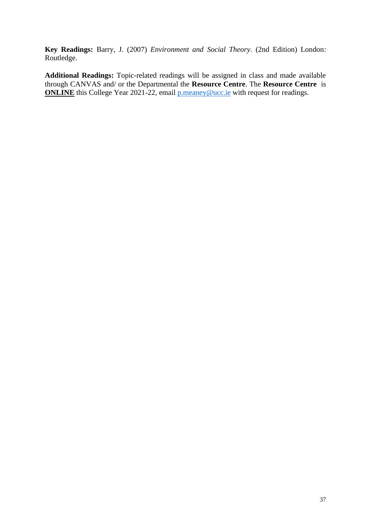**Key Readings:** Barry, J. (2007) *Environment and Social Theory*. (2nd Edition) London: Routledge.

**Additional Readings:** Topic-related readings will be assigned in class and made available through CANVAS and/ or the Departmental the **Resource Centre**. The **Resource Centre** is **ONLINE** this College Year 2021-22, email [p.meaney@ucc.ie](mailto:p.meaney@ucc.ie) with request for readings.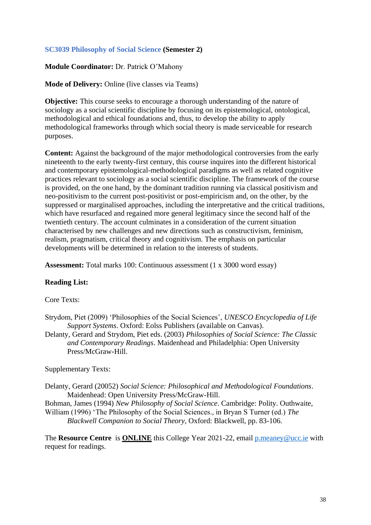# <span id="page-37-0"></span>**SC3039 Philosophy of Social Science (Semester 2)**

#### **Module Coordinator:** Dr. Patrick O'Mahony

**Mode of Delivery:** Online (live classes via Teams)

**Objective:** This course seeks to encourage a thorough understanding of the nature of sociology as a social scientific discipline by focusing on its epistemological, ontological, methodological and ethical foundations and, thus, to develop the ability to apply methodological frameworks through which social theory is made serviceable for research purposes.

**Content:** Against the background of the major methodological controversies from the early nineteenth to the early twenty-first century, this course inquires into the different historical and contemporary epistemological-methodological paradigms as well as related cognitive practices relevant to sociology as a social scientific discipline. The framework of the course is provided, on the one hand, by the dominant tradition running via classical positivism and neo-positivism to the current post-positivist or post-empiricism and, on the other, by the suppressed or marginalised approaches, including the interpretative and the critical traditions, which have resurfaced and regained more general legitimacy since the second half of the twentieth century. The account culminates in a consideration of the current situation characterised by new challenges and new directions such as constructivism, feminism, realism, pragmatism, critical theory and cognitivism. The emphasis on particular developments will be determined in relation to the interests of students.

**Assessment:** Total marks 100: Continuous assessment (1 x 3000 word essay)

### **Reading List:**

Core Texts:

- Strydom, Piet (2009) 'Philosophies of the Social Sciences', *UNESCO Encyclopedia of Life Support Systems*. Oxford: Eolss Publishers (available on Canvas).
- Delanty, Gerard and Strydom, Piet eds. (2003) *Philosophies of Social Science: The Classic and Contemporary Readings*. Maidenhead and Philadelphia: Open University Press/McGraw-Hill.

### Supplementary Texts:

Delanty, Gerard (20052) *Social Science: Philosophical and Methodological Foundations*. Maidenhead: Open University Press/McGraw-Hill.

Bohman, James (1994) *New Philosophy of Social Science*. Cambridge: Polity. Outhwaite, William (1996) 'The Philosophy of the Social Sciences., in Bryan S Turner (ed.) *The Blackwell Companion to Social Theory*, Oxford: Blackwell, pp. 83-106.

The **Resource Centre** is **ONLINE** this College Year 2021-22, email [p.meaney@ucc.ie](mailto:p.meaney@ucc.ie) with request for readings.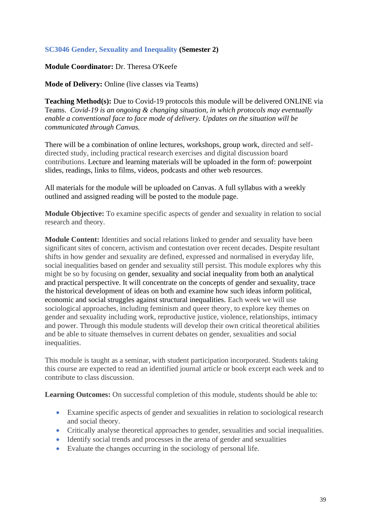# <span id="page-38-0"></span>**SC3046 Gender, Sexuality and Inequality (Semester 2)**

## **Module Coordinator:** Dr. Theresa O'Keefe

**Mode of Delivery:** Online (live classes via Teams)

**Teaching Method(s):** Due to Covid-19 protocols this module will be delivered ONLINE via Teams. *Covid-19 is an ongoing & changing situation, in which protocols may eventually enable a conventional face to face mode of delivery. Updates on the situation will be communicated through Canvas.* 

There will be a combination of online lectures, workshops, group work, directed and selfdirected study, including practical research exercises and digital discussion board contributions. Lecture and learning materials will be uploaded in the form of: powerpoint slides, readings, links to films, videos, podcasts and other web resources.

All materials for the module will be uploaded on Canvas. A full syllabus with a weekly outlined and assigned reading will be posted to the module page.

**Module Objective:** To examine specific aspects of gender and sexuality in relation to social research and theory.

**Module Content:** Identities and social relations linked to gender and sexuality have been significant sites of concern, activism and contestation over recent decades. Despite resultant shifts in how gender and sexuality are defined, expressed and normalised in everyday life, social inequalities based on gender and sexuality still persist. This module explores why this might be so by focusing on gender, sexuality and social inequality from both an analytical and practical perspective. It will concentrate on the concepts of gender and sexuality, trace the historical development of ideas on both and examine how such ideas inform political, economic and social struggles against structural inequalities. Each week we will use sociological approaches, including feminism and queer theory, to explore key themes on gender and sexuality including work, reproductive justice, violence, relationships, intimacy and power. Through this module students will develop their own critical theoretical abilities and be able to situate themselves in current debates on gender, sexualities and social inequalities.

This module is taught as a seminar, with student participation incorporated. Students taking this course are expected to read an identified journal article or book excerpt each week and to contribute to class discussion.

Learning Outcomes: On successful completion of this module, students should be able to:

- Examine specific aspects of gender and sexualities in relation to sociological research and social theory.
- Critically analyse theoretical approaches to gender, sexualities and social inequalities.
- Identify social trends and processes in the arena of gender and sexualities
- Evaluate the changes occurring in the sociology of personal life.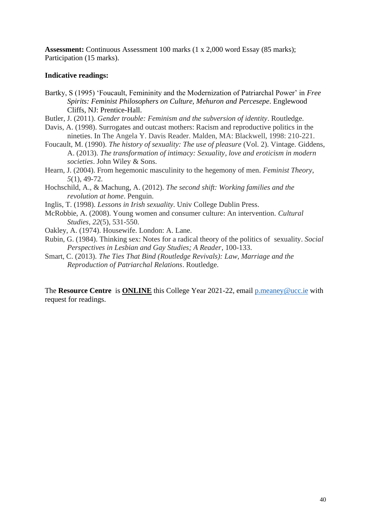**Assessment:** Continuous Assessment 100 marks (1 x 2,000 word Essay (85 marks); Participation (15 marks).

#### **Indicative readings:**

- Bartky, S (1995) 'Foucault, Femininity and the Modernization of Patriarchal Power' in *Free Spirits: Feminist Philosophers on Culture, Mehuron and Percesepe*. Englewood Cliffs, NJ: Prentice-Hall.
- Butler, J. (2011). *Gender trouble: Feminism and the subversion of identity*. Routledge.
- Davis, A. (1998). Surrogates and outcast mothers: Racism and reproductive politics in the nineties. In The Angela Y. Davis Reader. Malden, MA: Blackwell, 1998: 210-221.
- Foucault, M. (1990). *The history of sexuality: The use of pleasure* (Vol. 2). Vintage. Giddens, A. (2013). *The transformation of intimacy: Sexuality, love and eroticism in modern societies*. John Wiley & Sons.
- Hearn, J. (2004). From hegemonic masculinity to the hegemony of men. *Feminist Theory*, *5*(1), 49-72.
- Hochschild, A., & Machung, A. (2012). *The second shift: Working families and the revolution at home*. Penguin.
- Inglis, T. (1998). *Lessons in Irish sexuality*. Univ College Dublin Press.
- McRobbie, A. (2008). Young women and consumer culture: An intervention. *Cultural Studies*, *22*(5), 531-550.
- Oakley, A. (1974). Housewife. London: A. Lane.
- Rubin, G. (1984). Thinking sex: Notes for a radical theory of the politics of sexuality. *Social Perspectives in Lesbian and Gay Studies; A Reader*, 100-133.
- Smart, C. (2013). *The Ties That Bind (Routledge Revivals): Law, Marriage and the Reproduction of Patriarchal Relations*. Routledge.

The **Resource Centre** is **ONLINE** this College Year 2021-22, email [p.meaney@ucc.ie](mailto:p.meaney@ucc.ie) with request for readings.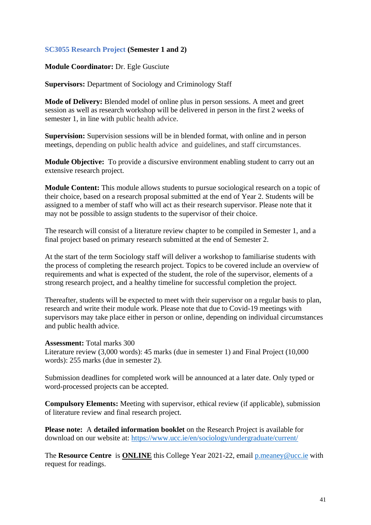## <span id="page-40-0"></span>**SC3055 Research Project (Semester 1 and 2)**

#### **Module Coordinator:** Dr. Egle Gusciute

**Supervisors:** Department of Sociology and Criminology Staff

**Mode of Delivery:** Blended model of online plus in person sessions. A meet and greet session as well as research workshop will be delivered in person in the first 2 weeks of semester 1, in line with public health advice.

**Supervision:** Supervision sessions will be in blended format, with online and in person meetings, depending on public health advice and guidelines, and staff circumstances.

**Module Objective:** To provide a discursive environment enabling student to carry out an extensive research project.

**Module Content:** This module allows students to pursue sociological research on a topic of their choice, based on a research proposal submitted at the end of Year 2. Students will be assigned to a member of staff who will act as their research supervisor. Please note that it may not be possible to assign students to the supervisor of their choice.

The research will consist of a literature review chapter to be compiled in Semester 1, and a final project based on primary research submitted at the end of Semester 2.

At the start of the term Sociology staff will deliver a workshop to familiarise students with the process of completing the research project. Topics to be covered include an overview of requirements and what is expected of the student, the role of the supervisor, elements of a strong research project, and a healthy timeline for successful completion the project.

Thereafter, students will be expected to meet with their supervisor on a regular basis to plan, research and write their module work. Please note that due to Covid-19 meetings with supervisors may take place either in person or online, depending on individual circumstances and public health advice.

#### **Assessment:** Total marks 300

Literature review (3,000 words): 45 marks (due in semester 1) and Final Project (10,000 words): 255 marks (due in semester 2).

Submission deadlines for completed work will be announced at a later date. Only typed or word-processed projects can be accepted.

**Compulsory Elements:** Meeting with supervisor, ethical review (if applicable), submission of literature review and final research project.

**Please note:** A **detailed information booklet** on the Research Project is available for download on our website at: <https://www.ucc.ie/en/sociology/undergraduate/current/>

The **Resource Centre** is **ONLINE** this College Year 2021-22, email [p.meaney@ucc.ie](mailto:p.meaney@ucc.ie) with request for readings.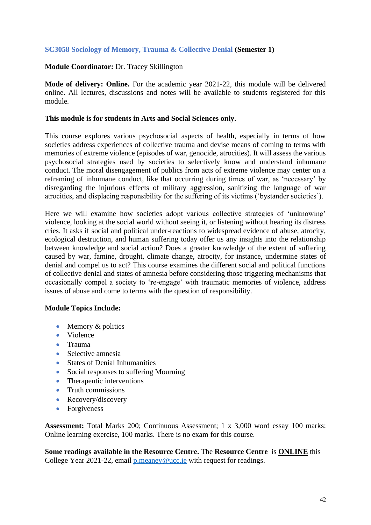## <span id="page-41-0"></span>**SC3058 Sociology of Memory, Trauma & Collective Denial (Semester 1)**

## **Module Coordinator:** Dr. Tracey Skillington

**Mode of delivery: Online.** For the academic year 2021-22, this module will be delivered online. All lectures, discussions and notes will be available to students registered for this module.

#### **This module is for students in Arts and Social Sciences only.**

This course explores various psychosocial aspects of health, especially in terms of how societies address experiences of collective trauma and devise means of coming to terms with memories of extreme violence (episodes of war, genocide, atrocities). It will assess the various psychosocial strategies used by societies to selectively know and understand inhumane conduct. The moral disengagement of publics from acts of extreme violence may center on a reframing of inhumane conduct, like that occurring during times of war, as 'necessary' by disregarding the injurious effects of military aggression, sanitizing the language of war atrocities, and displacing responsibility for the suffering of its victims ('bystander societies').

Here we will examine how societies adopt various collective strategies of 'unknowing' violence, looking at the social world without seeing it, or listening without hearing its distress cries. It asks if social and political under-reactions to widespread evidence of abuse, atrocity, ecological destruction, and human suffering today offer us any insights into the relationship between knowledge and social action? Does a greater knowledge of the extent of suffering caused by war, famine, drought, climate change, atrocity, for instance, undermine states of denial and compel us to act? This course examines the different social and political functions of collective denial and states of amnesia before considering those triggering mechanisms that occasionally compel a society to 're-engage' with traumatic memories of violence, address issues of abuse and come to terms with the question of responsibility.

### **Module Topics Include:**

- Memory & politics
- Violence
- Trauma
- Selective amnesia
- States of Denial Inhumanities
- Social responses to suffering Mourning
- Therapeutic interventions
- Truth commissions
- Recovery/discovery
- Forgiveness

**Assessment:** Total Marks 200; Continuous Assessment; 1 x 3,000 word essay 100 marks; Online learning exercise, 100 marks. There is no exam for this course.

**Some readings available in the Resource Centre.** The **Resource Centre** is **ONLINE** this College Year 2021-22, email [p.meaney@ucc.ie](mailto:p.meaney@ucc.ie) with request for readings.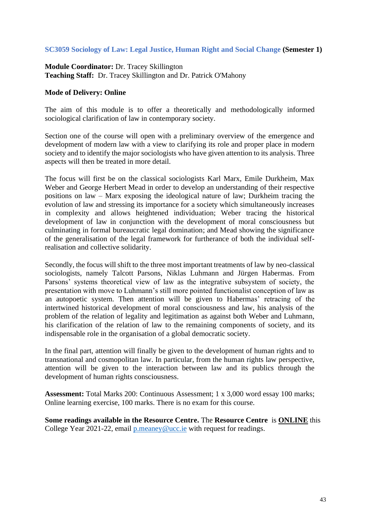## <span id="page-42-0"></span>**SC3059 Sociology of Law: Legal Justice, Human Right and Social Change (Semester 1)**

**Module Coordinator:** Dr. Tracey Skillington **Teaching Staff:** Dr. Tracey Skillington and Dr. Patrick O'Mahony

### **Mode of Delivery: Online**

The aim of this module is to offer a theoretically and methodologically informed sociological clarification of law in contemporary society.

Section one of the course will open with a preliminary overview of the emergence and development of modern law with a view to clarifying its role and proper place in modern society and to identify the major sociologists who have given attention to its analysis. Three aspects will then be treated in more detail.

The focus will first be on the classical sociologists Karl Marx, Emile Durkheim, Max Weber and George Herbert Mead in order to develop an understanding of their respective positions on law – Marx exposing the ideological nature of law; Durkheim tracing the evolution of law and stressing its importance for a society which simultaneously increases in complexity and allows heightened individuation; Weber tracing the historical development of law in conjunction with the development of moral consciousness but culminating in formal bureaucratic legal domination; and Mead showing the significance of the generalisation of the legal framework for furtherance of both the individual selfrealisation and collective solidarity.

Secondly, the focus will shift to the three most important treatments of law by neo-classical sociologists, namely Talcott Parsons, Niklas Luhmann and Jürgen Habermas. From Parsons' systems theoretical view of law as the integrative subsystem of society, the presentation with move to Luhmann's still more pointed functionalist conception of law as an autopoetic system. Then attention will be given to Habermas' retracing of the intertwined historical development of moral consciousness and law, his analysis of the problem of the relation of legality and legitimation as against both Weber and Luhmann, his clarification of the relation of law to the remaining components of society, and its indispensable role in the organisation of a global democratic society.

In the final part, attention will finally be given to the development of human rights and to transnational and cosmopolitan law. In particular, from the human rights law perspective, attention will be given to the interaction between law and its publics through the development of human rights consciousness.

**Assessment:** Total Marks 200: Continuous Assessment; 1 x 3,000 word essay 100 marks; Online learning exercise, 100 marks. There is no exam for this course.

**Some readings available in the Resource Centre.** The **Resource Centre** is **ONLINE** this College Year 2021-22, email [p.meaney@ucc.ie](mailto:p.meaney@ucc.ie) with request for readings.